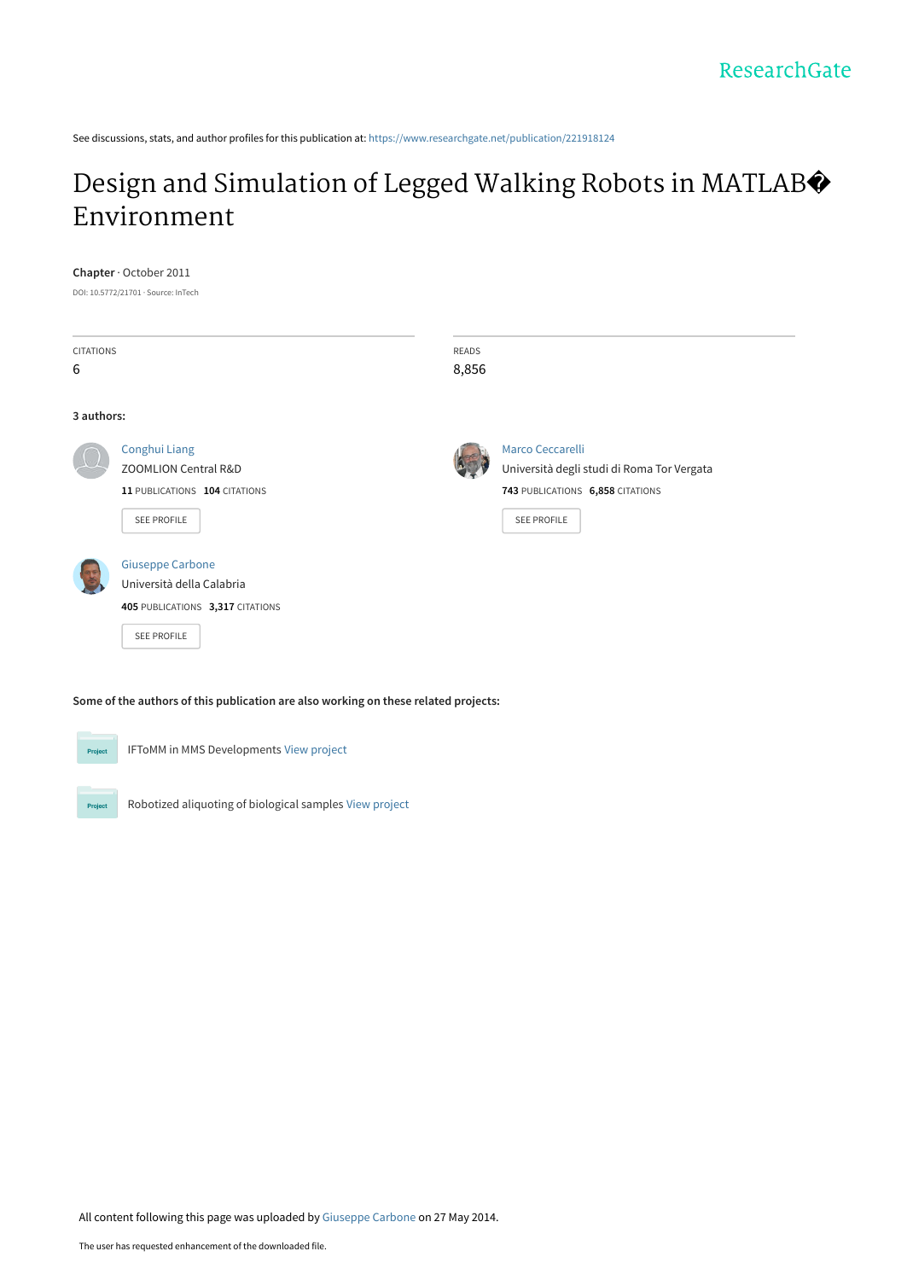See discussions, stats, and author profiles for this publication at: [https://www.researchgate.net/publication/221918124](https://www.researchgate.net/publication/221918124_Design_and_Simulation_of_Legged_Walking_Robots_in_MATLAB_Environment?enrichId=rgreq-9873fb169aaed55d7b9470c175ed76df-XXX&enrichSource=Y292ZXJQYWdlOzIyMTkxODEyNDtBUzoxMDEzNTQ4NDQ0NTkwMjBAMTQwMTE3NjI4Nzc1Mg%3D%3D&el=1_x_2&_esc=publicationCoverPdf)

## [Design and Simulation of Legged Walking Robots in MATLAB](https://www.researchgate.net/publication/221918124_Design_and_Simulation_of_Legged_Walking_Robots_in_MATLAB_Environment?enrichId=rgreq-9873fb169aaed55d7b9470c175ed76df-XXX&enrichSource=Y292ZXJQYWdlOzIyMTkxODEyNDtBUzoxMDEzNTQ4NDQ0NTkwMjBAMTQwMTE3NjI4Nzc1Mg%3D%3D&el=1_x_3&_esc=publicationCoverPdf)� Environment

#### **Chapter** · October 2011

DOI: 10.5772/21701 · Source: InTech

| <b>CITATIONS</b><br>6 |                                                                               | READS<br>8,856 |                                                                                                    |
|-----------------------|-------------------------------------------------------------------------------|----------------|----------------------------------------------------------------------------------------------------|
| 3 authors:            |                                                                               |                |                                                                                                    |
|                       | <b>Conghui Liang</b><br>ZOOMLION Central R&D<br>11 PUBLICATIONS 104 CITATIONS |                | Marco Ceccarelli<br>Università degli studi di Roma Tor Vergata<br>743 PUBLICATIONS 6,858 CITATIONS |
|                       | SEE PROFILE<br><b>Giuseppe Carbone</b><br>Università della Calabria           |                | SEE PROFILE                                                                                        |
|                       | 405 PUBLICATIONS 3,317 CITATIONS<br><b>SEE PROFILE</b>                        |                |                                                                                                    |

**Some of the authors of this publication are also working on these related projects:**

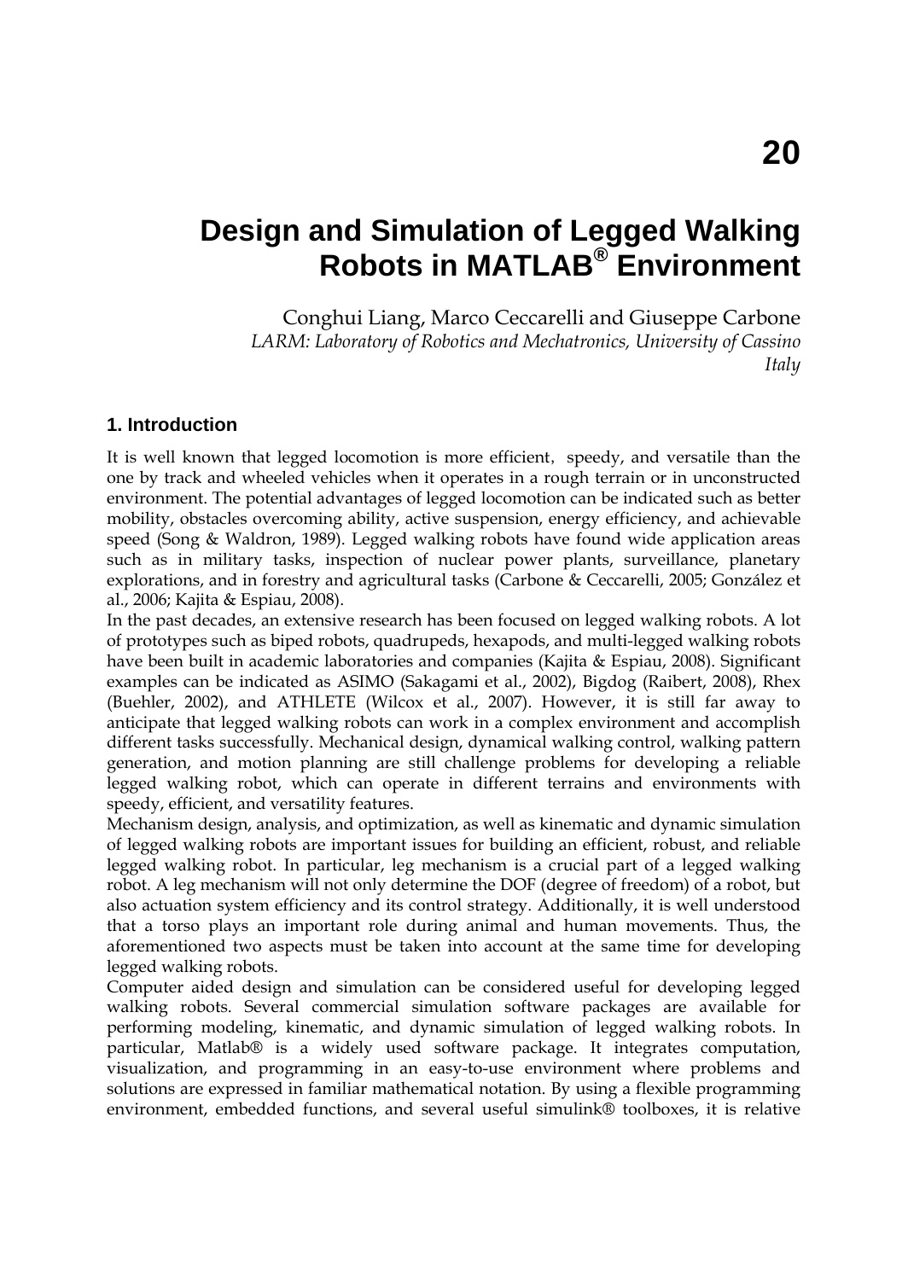# **Design and Simulation of Legged Walking Robots in MATLAB® Environment**

Conghui Liang, Marco Ceccarelli and Giuseppe Carbone *LARM: Laboratory of Robotics and Mechatronics, University of Cassino Italy* 

## **1. Introduction**

It is well known that legged locomotion is more efficient, speedy, and versatile than the one by track and wheeled vehicles when it operates in a rough terrain or in unconstructed environment. The potential advantages of legged locomotion can be indicated such as better mobility, obstacles overcoming ability, active suspension, energy efficiency, and achievable speed (Song & Waldron, 1989). Legged walking robots have found wide application areas such as in military tasks, inspection of nuclear power plants, surveillance, planetary explorations, and in forestry and agricultural tasks (Carbone & Ceccarelli, 2005; González et al., 2006; Kajita & Espiau, 2008).

In the past decades, an extensive research has been focused on legged walking robots. A lot of prototypes such as biped robots, quadrupeds, hexapods, and multi-legged walking robots have been built in academic laboratories and companies (Kajita & Espiau, 2008). Significant examples can be indicated as ASIMO (Sakagami et al., 2002), Bigdog (Raibert, 2008), Rhex (Buehler, 2002), and ATHLETE (Wilcox et al., 2007). However, it is still far away to anticipate that legged walking robots can work in a complex environment and accomplish different tasks successfully. Mechanical design, dynamical walking control, walking pattern generation, and motion planning are still challenge problems for developing a reliable legged walking robot, which can operate in different terrains and environments with speedy, efficient, and versatility features.

Mechanism design, analysis, and optimization, as well as kinematic and dynamic simulation of legged walking robots are important issues for building an efficient, robust, and reliable legged walking robot. In particular, leg mechanism is a crucial part of a legged walking robot. A leg mechanism will not only determine the DOF (degree of freedom) of a robot, but also actuation system efficiency and its control strategy. Additionally, it is well understood that a torso plays an important role during animal and human movements. Thus, the aforementioned two aspects must be taken into account at the same time for developing legged walking robots.

Computer aided design and simulation can be considered useful for developing legged walking robots. Several commercial simulation software packages are available for performing modeling, kinematic, and dynamic simulation of legged walking robots. In particular, Matlab® is a widely used software package. It integrates computation, visualization, and programming in an easy-to-use environment where problems and solutions are expressed in familiar mathematical notation. By using a flexible programming environment, embedded functions, and several useful simulink® toolboxes, it is relative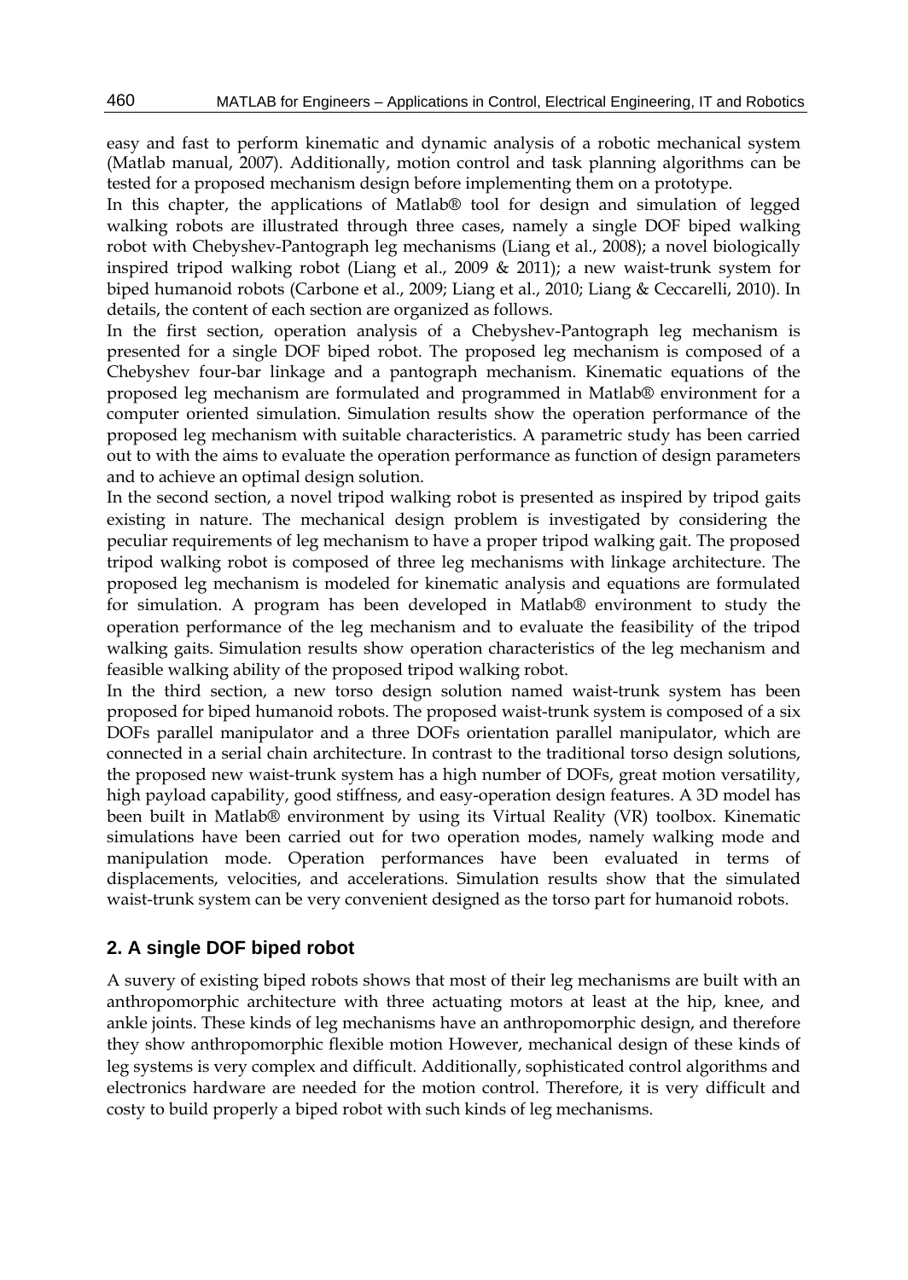easy and fast to perform kinematic and dynamic analysis of a robotic mechanical system (Matlab manual, 2007). Additionally, motion control and task planning algorithms can be tested for a proposed mechanism design before implementing them on a prototype.

In this chapter, the applications of Matlab® tool for design and simulation of legged walking robots are illustrated through three cases, namely a single DOF biped walking robot with Chebyshev-Pantograph leg mechanisms (Liang et al., 2008); a novel biologically inspired tripod walking robot (Liang et al., 2009 & 2011); a new waist-trunk system for biped humanoid robots (Carbone et al., 2009; Liang et al., 2010; Liang & Ceccarelli, 2010). In details, the content of each section are organized as follows.

In the first section, operation analysis of a Chebyshev-Pantograph leg mechanism is presented for a single DOF biped robot. The proposed leg mechanism is composed of a Chebyshev four-bar linkage and a pantograph mechanism. Kinematic equations of the proposed leg mechanism are formulated and programmed in Matlab® environment for a computer oriented simulation. Simulation results show the operation performance of the proposed leg mechanism with suitable characteristics. A parametric study has been carried out to with the aims to evaluate the operation performance as function of design parameters and to achieve an optimal design solution.

In the second section, a novel tripod walking robot is presented as inspired by tripod gaits existing in nature. The mechanical design problem is investigated by considering the peculiar requirements of leg mechanism to have a proper tripod walking gait. The proposed tripod walking robot is composed of three leg mechanisms with linkage architecture. The proposed leg mechanism is modeled for kinematic analysis and equations are formulated for simulation. A program has been developed in Matlab® environment to study the operation performance of the leg mechanism and to evaluate the feasibility of the tripod walking gaits. Simulation results show operation characteristics of the leg mechanism and feasible walking ability of the proposed tripod walking robot.

In the third section, a new torso design solution named waist-trunk system has been proposed for biped humanoid robots. The proposed waist-trunk system is composed of a six DOFs parallel manipulator and a three DOFs orientation parallel manipulator, which are connected in a serial chain architecture. In contrast to the traditional torso design solutions, the proposed new waist-trunk system has a high number of DOFs, great motion versatility, high payload capability, good stiffness, and easy-operation design features. A 3D model has been built in Matlab® environment by using its Virtual Reality (VR) toolbox. Kinematic simulations have been carried out for two operation modes, namely walking mode and manipulation mode. Operation performances have been evaluated in terms of displacements, velocities, and accelerations. Simulation results show that the simulated waist-trunk system can be very convenient designed as the torso part for humanoid robots.

## **2. A single DOF biped robot**

A suvery of existing biped robots shows that most of their leg mechanisms are built with an anthropomorphic architecture with three actuating motors at least at the hip, knee, and ankle joints. These kinds of leg mechanisms have an anthropomorphic design, and therefore they show anthropomorphic flexible motion However, mechanical design of these kinds of leg systems is very complex and difficult. Additionally, sophisticated control algorithms and electronics hardware are needed for the motion control. Therefore, it is very difficult and costy to build properly a biped robot with such kinds of leg mechanisms.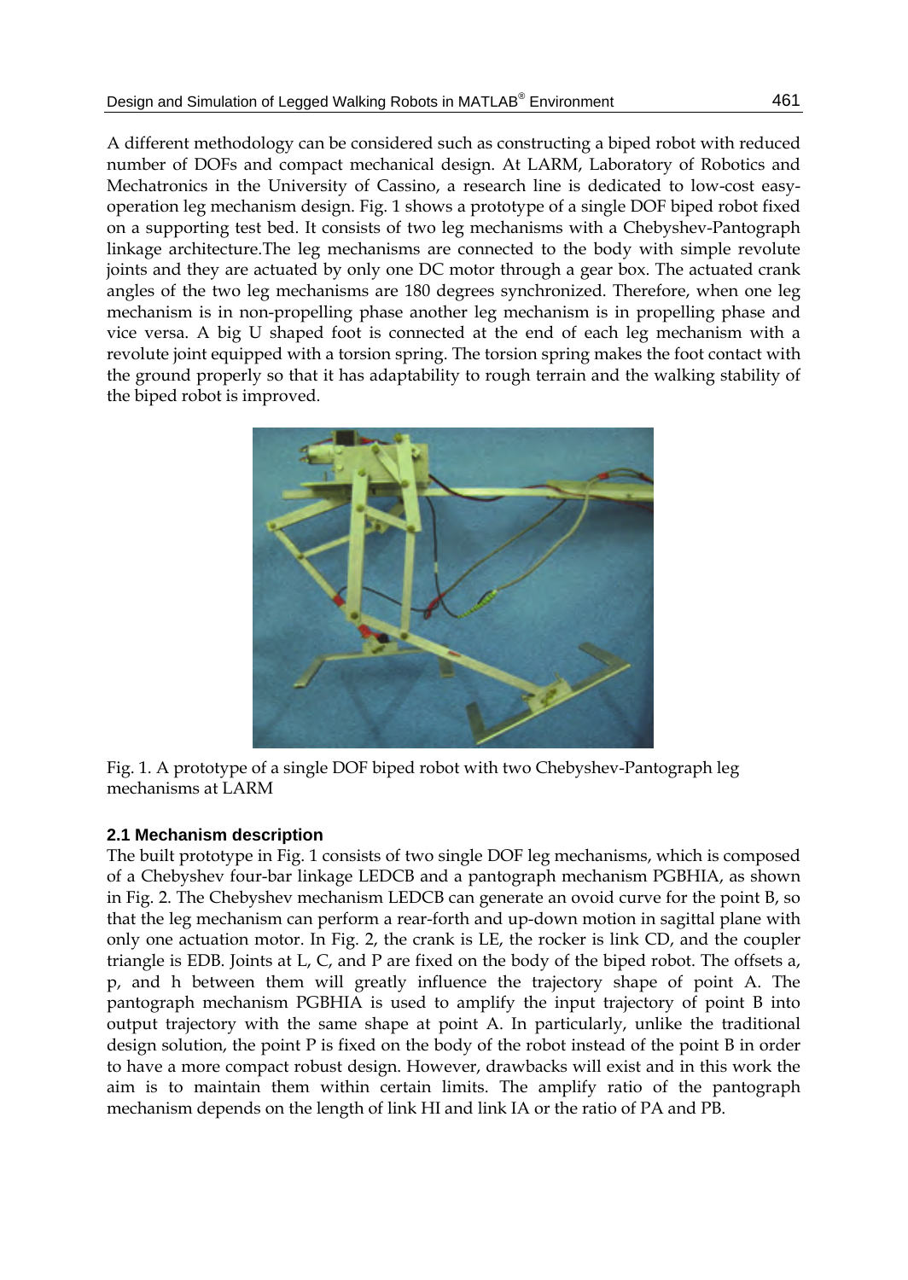A different methodology can be considered such as constructing a biped robot with reduced number of DOFs and compact mechanical design. At LARM, Laboratory of Robotics and Mechatronics in the University of Cassino, a research line is dedicated to low-cost easyoperation leg mechanism design. Fig. 1 shows a prototype of a single DOF biped robot fixed on a supporting test bed. It consists of two leg mechanisms with a Chebyshev-Pantograph linkage architecture.The leg mechanisms are connected to the body with simple revolute joints and they are actuated by only one DC motor through a gear box. The actuated crank angles of the two leg mechanisms are 180 degrees synchronized. Therefore, when one leg mechanism is in non-propelling phase another leg mechanism is in propelling phase and vice versa. A big U shaped foot is connected at the end of each leg mechanism with a revolute joint equipped with a torsion spring. The torsion spring makes the foot contact with the ground properly so that it has adaptability to rough terrain and the walking stability of the biped robot is improved.



Fig. 1. A prototype of a single DOF biped robot with two Chebyshev-Pantograph leg mechanisms at LARM

## **2.1 Mechanism description**

The built prototype in Fig. 1 consists of two single DOF leg mechanisms, which is composed of a Chebyshev four-bar linkage LEDCB and a pantograph mechanism PGBHIA, as shown in Fig. 2. The Chebyshev mechanism LEDCB can generate an ovoid curve for the point B, so that the leg mechanism can perform a rear-forth and up-down motion in sagittal plane with only one actuation motor. In Fig. 2, the crank is LE, the rocker is link CD, and the coupler triangle is EDB. Joints at L, C, and P are fixed on the body of the biped robot. The offsets a, p, and h between them will greatly influence the trajectory shape of point A. The pantograph mechanism PGBHIA is used to amplify the input trajectory of point B into output trajectory with the same shape at point A. In particularly, unlike the traditional design solution, the point P is fixed on the body of the robot instead of the point B in order to have a more compact robust design. However, drawbacks will exist and in this work the aim is to maintain them within certain limits. The amplify ratio of the pantograph mechanism depends on the length of link HI and link IA or the ratio of PA and PB.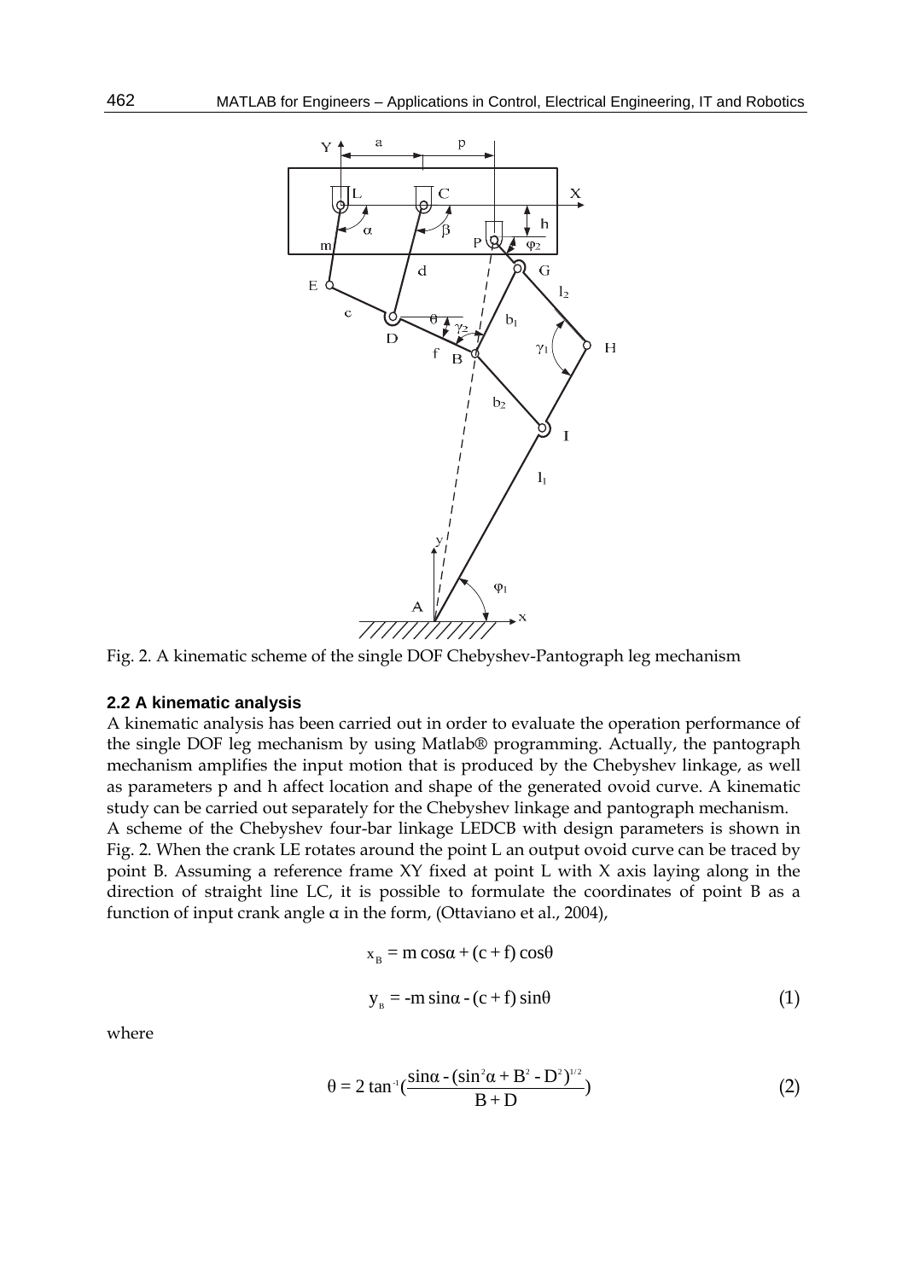

Fig. 2. A kinematic scheme of the single DOF Chebyshev-Pantograph leg mechanism

## **2.2 A kinematic analysis**

A kinematic analysis has been carried out in order to evaluate the operation performance of the single DOF leg mechanism by using Matlab® programming. Actually, the pantograph mechanism amplifies the input motion that is produced by the Chebyshev linkage, as well as parameters p and h affect location and shape of the generated ovoid curve. A kinematic study can be carried out separately for the Chebyshev linkage and pantograph mechanism. A scheme of the Chebyshev four-bar linkage LEDCB with design parameters is shown in Fig. 2. When the crank LE rotates around the point L an output ovoid curve can be traced by point B. Assuming a reference frame XY fixed at point L with X axis laying along in the direction of straight line LC, it is possible to formulate the coordinates of point B as a function of input crank angle α in the form, (Ottaviano et al., 2004),

$$
x_{B} = m \cos\alpha + (c + f) \cos\theta
$$
  

$$
y_{B} = -m \sin\alpha - (c + f) \sin\theta
$$
 (1)

where

$$
\theta = 2 \tan^{-1} \left( \frac{\sin \alpha - (\sin^2 \alpha + B^2 - D^2)^{1/2}}{B + D} \right)
$$
 (2)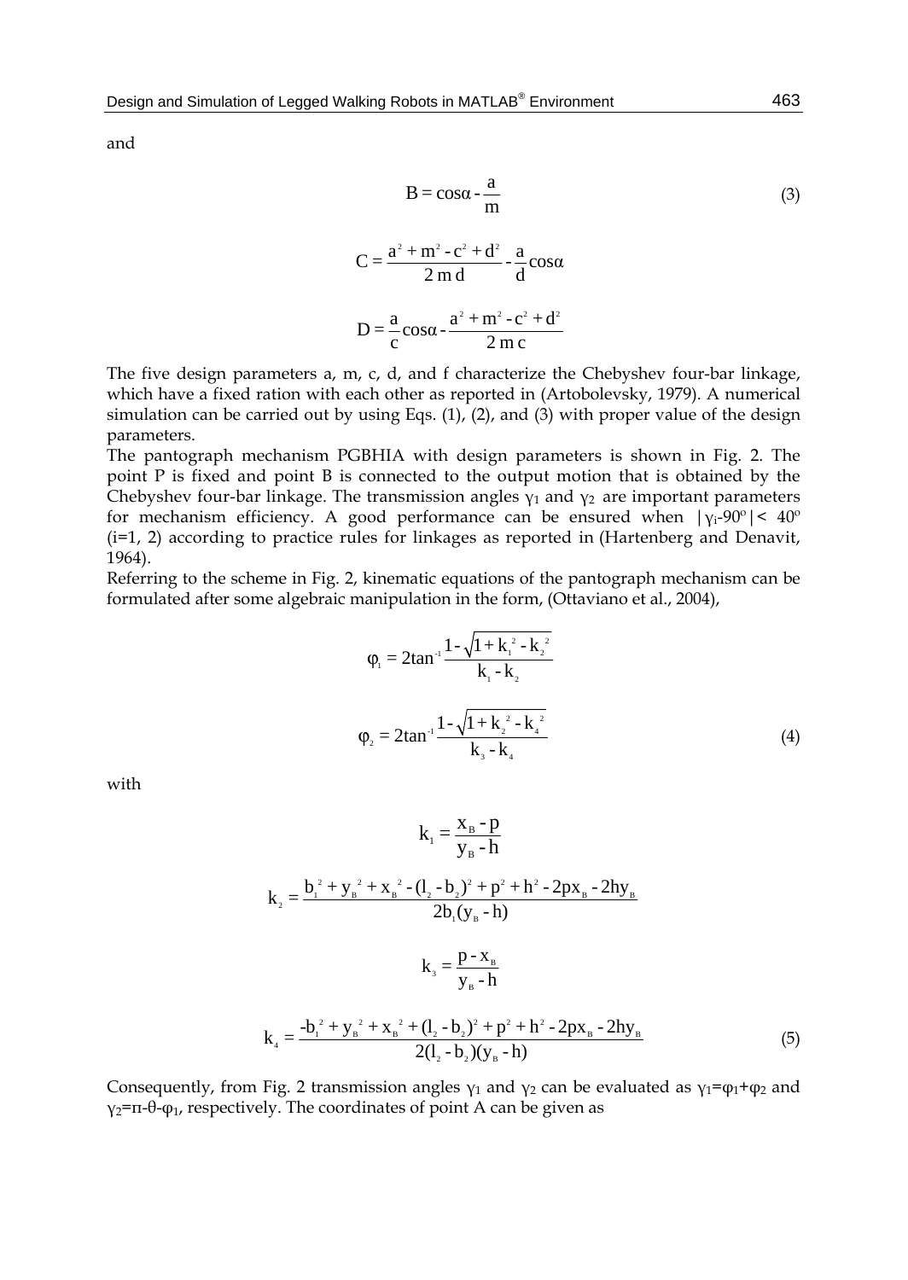and

$$
B = \cos\alpha - \frac{a}{m} \tag{3}
$$

$$
C = \frac{a^{2} + m^{2} - c^{2} + d^{2}}{2 m d} - \frac{a}{d} cos \alpha
$$

$$
D = \frac{a}{c} cos \alpha - \frac{a^{2} + m^{2} - c^{2} + d^{2}}{2 m c}
$$

The five design parameters a, m, c, d, and f characterize the Chebyshev four-bar linkage, which have a fixed ration with each other as reported in (Artobolevsky, 1979). A numerical simulation can be carried out by using Eqs. (1), (2), and (3) with proper value of the design parameters.

The pantograph mechanism PGBHIA with design parameters is shown in Fig. 2. The point P is fixed and point B is connected to the output motion that is obtained by the Chebyshev four-bar linkage. The transmission angles  $\gamma_1$  and  $\gamma_2$  are important parameters for mechanism efficiency. A good performance can be ensured when  $|\gamma_i-90^\circ| < 40^\circ$ (i=1, 2) according to practice rules for linkages as reported in (Hartenberg and Denavit, 1964).

Referring to the scheme in Fig. 2, kinematic equations of the pantograph mechanism can be formulated after some algebraic manipulation in the form, (Ottaviano et al., 2004),

$$
\varphi_{1} = 2 \tan^{-1} \frac{1 - \sqrt{1 + k_{1}^{2} - k_{2}^{2}}}{k_{1} - k_{2}}
$$
\n
$$
\varphi_{2} = 2 \tan^{-1} \frac{1 - \sqrt{1 + k_{2}^{2} - k_{4}^{2}}}{k_{3} - k_{4}}
$$
\n(4)

with

$$
k_{1} = \frac{x_{B} - p}{y_{B} - h}
$$
\n
$$
k_{2} = \frac{b_{1}^{2} + y_{B}^{2} + x_{B}^{2} - (l_{2} - b_{2})^{2} + p^{2} + h^{2} - 2px_{B} - 2hy_{B}}{2b_{1}(y_{B} - h)}
$$
\n
$$
k_{3} = \frac{p - x_{B}}{y_{B} - h}
$$
\n
$$
k_{4} = \frac{-b_{1}^{2} + y_{B}^{2} + x_{B}^{2} + (l_{2} - b_{2})^{2} + p^{2} + h^{2} - 2px_{B} - 2hy_{B}}{2(l_{2} - b_{2})(y_{B} - h)}
$$
\n(5)

Consequently, from Fig. 2 transmission angles  $\gamma_1$  and  $\gamma_2$  can be evaluated as  $\gamma_1 = \varphi_1 + \varphi_2$  and  $γ<sub>2</sub>=π-θ-φ<sub>1</sub>$ , respectively. The coordinates of point A can be given as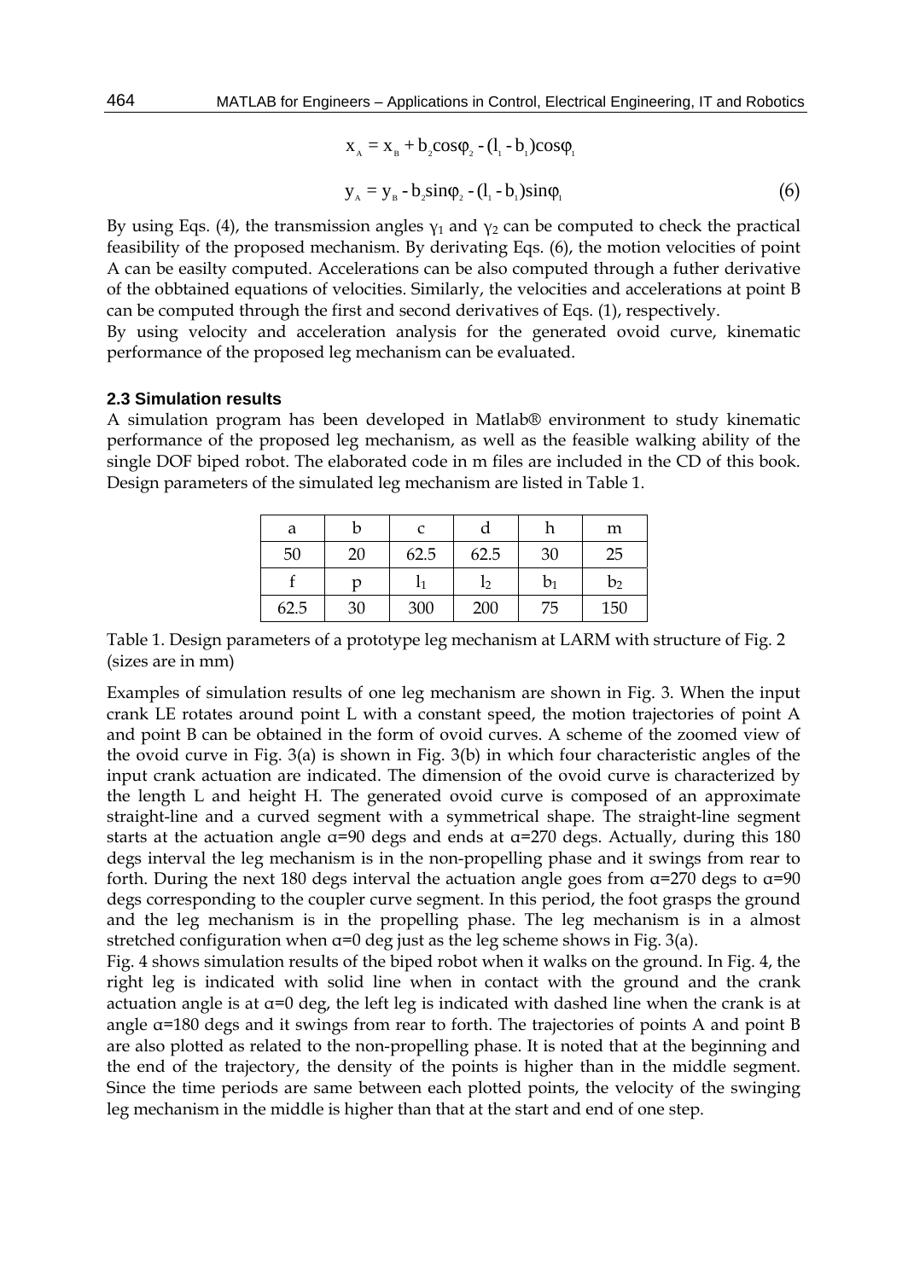$$
x_{A} = x_{B} + b_{2}cos\phi_{2} - (l_{1} - b_{1})cos\phi_{1}
$$
  
\n
$$
y_{A} = y_{B} - b_{2}sin\phi_{2} - (l_{1} - b_{1})sin\phi_{1}
$$
 (6)

By using Eqs. (4), the transmission angles  $\gamma_1$  and  $\gamma_2$  can be computed to check the practical feasibility of the proposed mechanism. By derivating Eqs. (6), the motion velocities of point A can be easilty computed. Accelerations can be also computed through a futher derivative of the obbtained equations of velocities. Similarly, the velocities and accelerations at point B can be computed through the first and second derivatives of Eqs. (1), respectively.

By using velocity and acceleration analysis for the generated ovoid curve, kinematic performance of the proposed leg mechanism can be evaluated.

#### **2.3 Simulation results**

A simulation program has been developed in Matlab® environment to study kinematic performance of the proposed leg mechanism, as well as the feasible walking ability of the single DOF biped robot. The elaborated code in m files are included in the CD of this book. Design parameters of the simulated leg mechanism are listed in Table 1.

| a    | b  | C    | α    | n     | m   |
|------|----|------|------|-------|-----|
| 50   | 20 | 62.5 | 62.5 | 30    | 25  |
|      | n  |      | 12   | $b_1$ | b,  |
| 62.5 | 30 | 300  | 200  | 75    | 150 |

Table 1. Design parameters of a prototype leg mechanism at LARM with structure of Fig. 2 (sizes are in mm)

Examples of simulation results of one leg mechanism are shown in Fig. 3. When the input crank LE rotates around point L with a constant speed, the motion trajectories of point A and point B can be obtained in the form of ovoid curves. A scheme of the zoomed view of the ovoid curve in Fig. 3(a) is shown in Fig. 3(b) in which four characteristic angles of the input crank actuation are indicated. The dimension of the ovoid curve is characterized by the length L and height H. The generated ovoid curve is composed of an approximate straight-line and a curved segment with a symmetrical shape. The straight-line segment starts at the actuation angle  $\alpha$ =90 degs and ends at  $\alpha$ =270 degs. Actually, during this 180 degs interval the leg mechanism is in the non-propelling phase and it swings from rear to forth. During the next 180 degs interval the actuation angle goes from  $\alpha$ =270 degs to  $\alpha$ =90 degs corresponding to the coupler curve segment. In this period, the foot grasps the ground and the leg mechanism is in the propelling phase. The leg mechanism is in a almost stretched configuration when  $\alpha=0$  deg just as the leg scheme shows in Fig. 3(a).

Fig. 4 shows simulation results of the biped robot when it walks on the ground. In Fig. 4, the right leg is indicated with solid line when in contact with the ground and the crank actuation angle is at  $\alpha=0$  deg, the left leg is indicated with dashed line when the crank is at angle α=180 degs and it swings from rear to forth. The trajectories of points A and point B are also plotted as related to the non-propelling phase. It is noted that at the beginning and the end of the trajectory, the density of the points is higher than in the middle segment. Since the time periods are same between each plotted points, the velocity of the swinging leg mechanism in the middle is higher than that at the start and end of one step.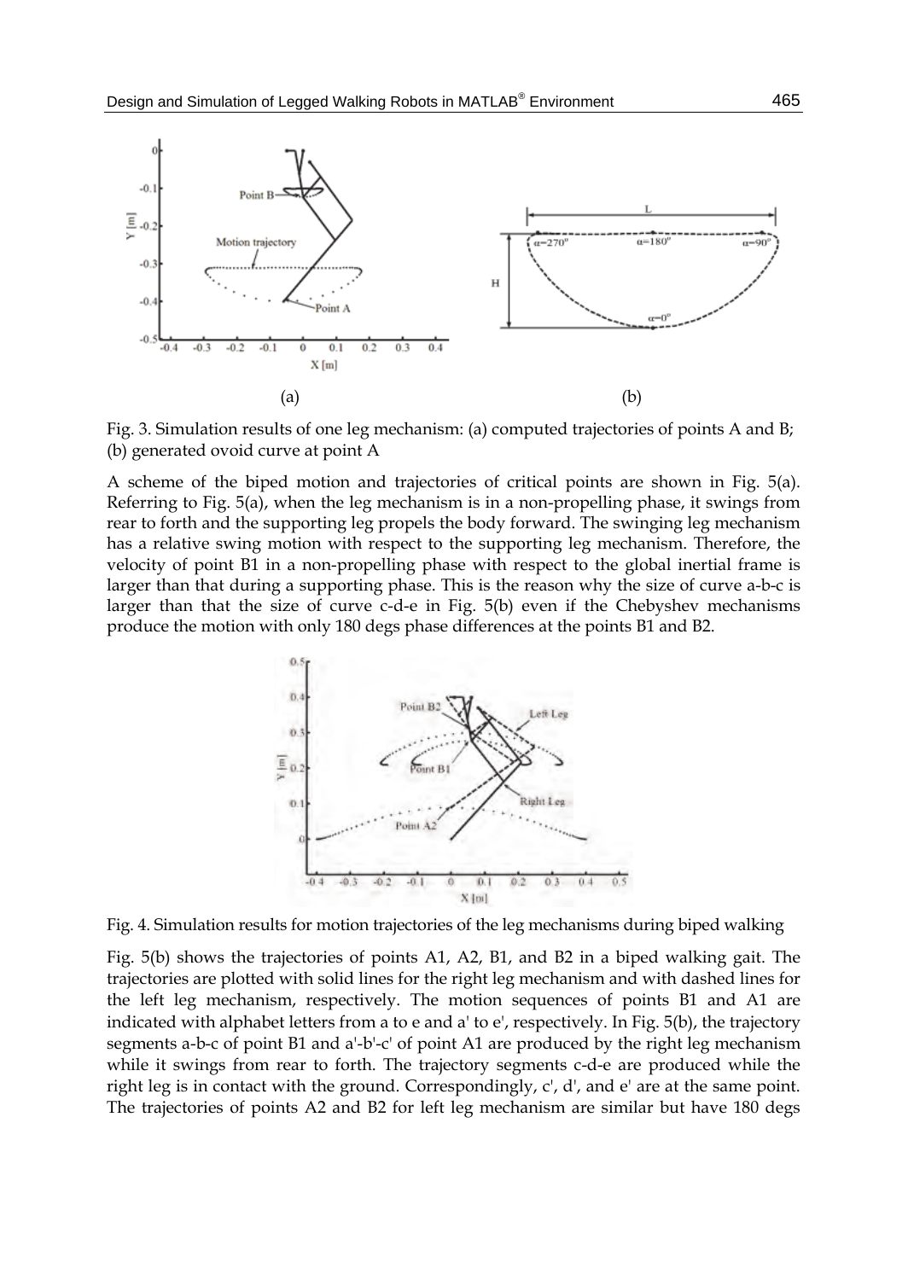



A scheme of the biped motion and trajectories of critical points are shown in Fig. 5(a). Referring to Fig. 5(a), when the leg mechanism is in a non-propelling phase, it swings from rear to forth and the supporting leg propels the body forward. The swinging leg mechanism has a relative swing motion with respect to the supporting leg mechanism. Therefore, the velocity of point B1 in a non-propelling phase with respect to the global inertial frame is larger than that during a supporting phase. This is the reason why the size of curve a-b-c is larger than that the size of curve c-d-e in Fig. 5(b) even if the Chebyshev mechanisms produce the motion with only 180 degs phase differences at the points B1 and B2.



Fig. 4. Simulation results for motion trajectories of the leg mechanisms during biped walking

Fig. 5(b) shows the trajectories of points A1, A2, B1, and B2 in a biped walking gait. The trajectories are plotted with solid lines for the right leg mechanism and with dashed lines for the left leg mechanism, respectively. The motion sequences of points B1 and A1 are indicated with alphabet letters from a to e and a' to e', respectively. In Fig. 5(b), the trajectory segments a-b-c of point B1 and a'-b'-c' of point A1 are produced by the right leg mechanism while it swings from rear to forth. The trajectory segments c-d-e are produced while the right leg is in contact with the ground. Correspondingly, c', d', and e' are at the same point. The trajectories of points A2 and B2 for left leg mechanism are similar but have 180 degs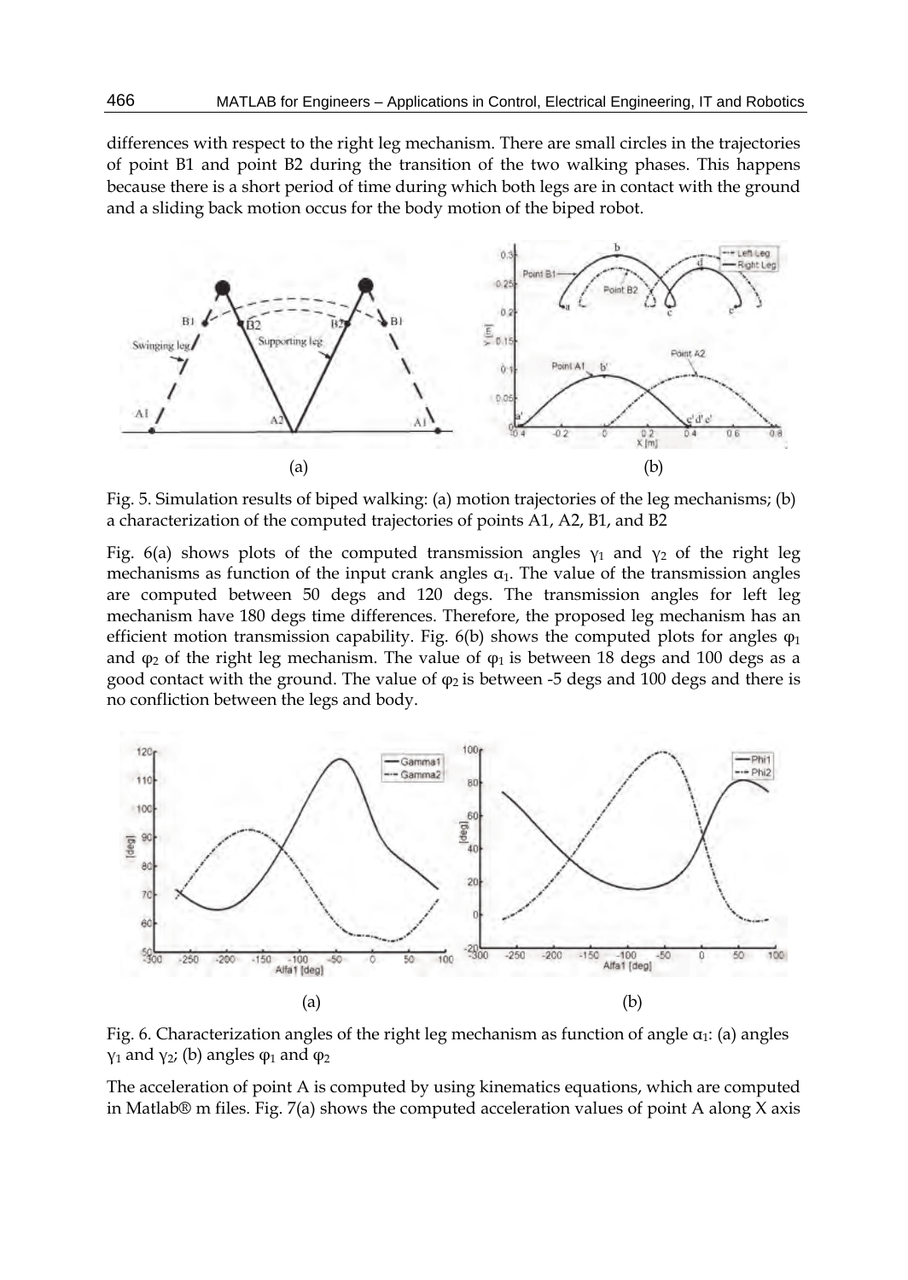differences with respect to the right leg mechanism. There are small circles in the trajectories of point B1 and point B2 during the transition of the two walking phases. This happens because there is a short period of time during which both legs are in contact with the ground and a sliding back motion occus for the body motion of the biped robot.



Fig. 5. Simulation results of biped walking: (a) motion trajectories of the leg mechanisms; (b) a characterization of the computed trajectories of points A1, A2, B1, and B2

Fig. 6(a) shows plots of the computed transmission angles  $y_1$  and  $y_2$  of the right leg mechanisms as function of the input crank angles  $\alpha_1$ . The value of the transmission angles are computed between 50 degs and 120 degs. The transmission angles for left leg mechanism have 180 degs time differences. Therefore, the proposed leg mechanism has an efficient motion transmission capability. Fig. 6(b) shows the computed plots for angles  $\varphi_1$ and  $\varphi_2$  of the right leg mechanism. The value of  $\varphi_1$  is between 18 degs and 100 degs as a good contact with the ground. The value of  $\varphi_2$  is between -5 degs and 100 degs and there is no confliction between the legs and body.



Fig. 6. Characterization angles of the right leg mechanism as function of angle  $\alpha_1$ : (a) angles γ<sub>1</sub> and γ<sub>2</sub>; (b) angles  $φ$ <sub>1</sub> and  $φ$ <sub>2</sub>

The acceleration of point A is computed by using kinematics equations, which are computed in Matlab® m files. Fig. 7(a) shows the computed acceleration values of point A along X axis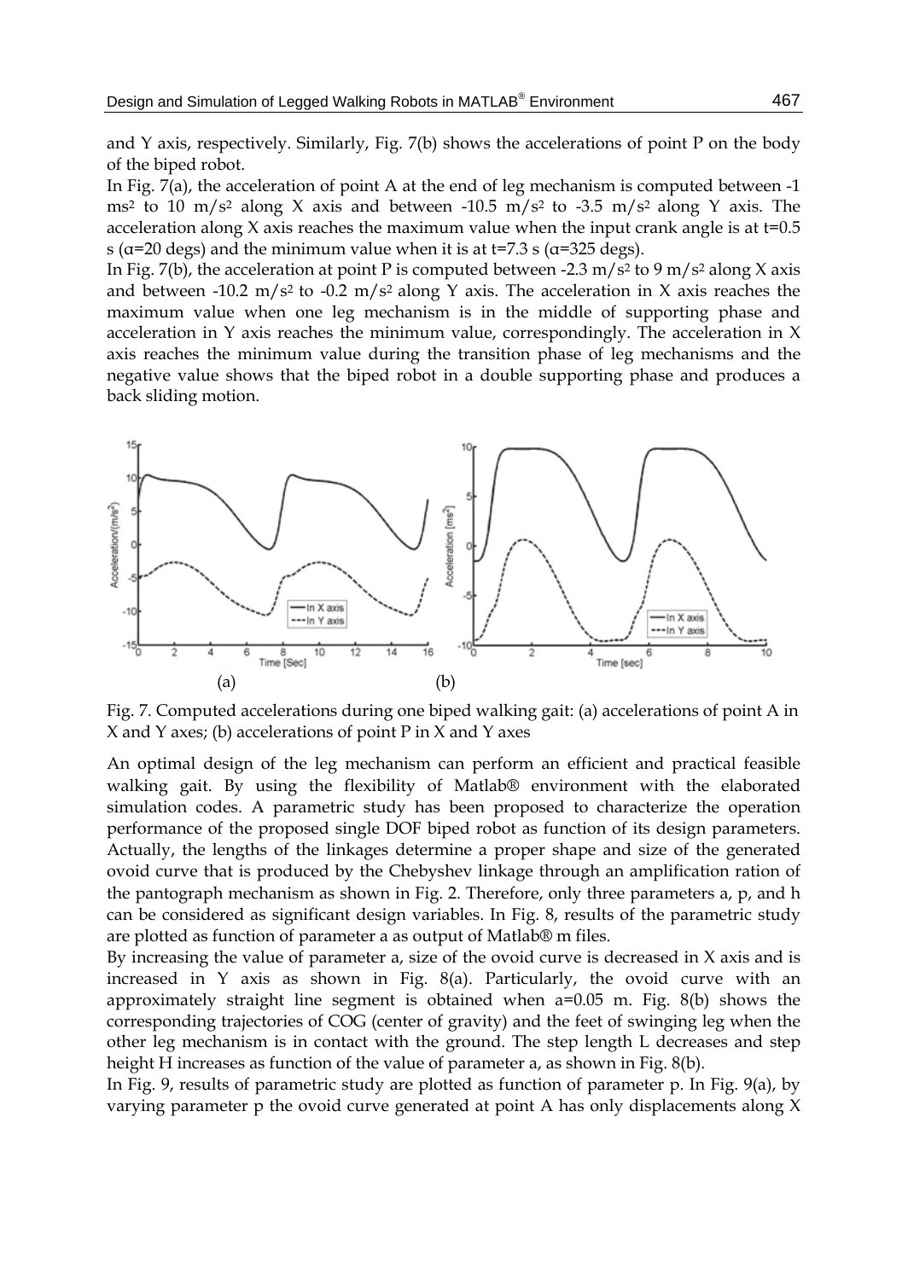and Y axis, respectively. Similarly, Fig. 7(b) shows the accelerations of point P on the body of the biped robot.

In Fig. 7(a), the acceleration of point A at the end of leg mechanism is computed between -1 ms<sup>2</sup> to 10 m/s<sup>2</sup> along X axis and between -10.5 m/s<sup>2</sup> to -3.5 m/s<sup>2</sup> along Y axis. The acceleration along  $X$  axis reaches the maximum value when the input crank angle is at  $t=0.5$ s ( $\alpha$ =20 degs) and the minimum value when it is at t=7.3 s ( $\alpha$ =325 degs).

In Fig. 7(b), the acceleration at point P is computed between -2.3 m/s<sup>2</sup> to 9 m/s<sup>2</sup> along X axis and between -10.2 m/s<sup>2</sup> to -0.2 m/s<sup>2</sup> along Y axis. The acceleration in X axis reaches the maximum value when one leg mechanism is in the middle of supporting phase and acceleration in Y axis reaches the minimum value, correspondingly. The acceleration in  $X$ axis reaches the minimum value during the transition phase of leg mechanisms and the negative value shows that the biped robot in a double supporting phase and produces a back sliding motion.



Fig. 7. Computed accelerations during one biped walking gait: (a) accelerations of point A in  $X$  and  $Y$  axes; (b) accelerations of point  $P$  in  $X$  and  $Y$  axes

An optimal design of the leg mechanism can perform an efficient and practical feasible walking gait. By using the flexibility of Matlab® environment with the elaborated simulation codes. A parametric study has been proposed to characterize the operation performance of the proposed single DOF biped robot as function of its design parameters. Actually, the lengths of the linkages determine a proper shape and size of the generated ovoid curve that is produced by the Chebyshev linkage through an amplification ration of the pantograph mechanism as shown in Fig. 2. Therefore, only three parameters a, p, and h can be considered as significant design variables. In Fig. 8, results of the parametric study are plotted as function of parameter a as output of Matlab® m files.

By increasing the value of parameter a, size of the ovoid curve is decreased in X axis and is increased in Y axis as shown in Fig.  $8(a)$ . Particularly, the ovoid curve with an approximately straight line segment is obtained when  $a=0.05$  m. Fig. 8(b) shows the corresponding trajectories of COG (center of gravity) and the feet of swinging leg when the other leg mechanism is in contact with the ground. The step length L decreases and step height H increases as function of the value of parameter a, as shown in Fig. 8(b).

In Fig. 9, results of parametric study are plotted as function of parameter p. In Fig. 9(a), by varying parameter p the ovoid curve generated at point A has only displacements along X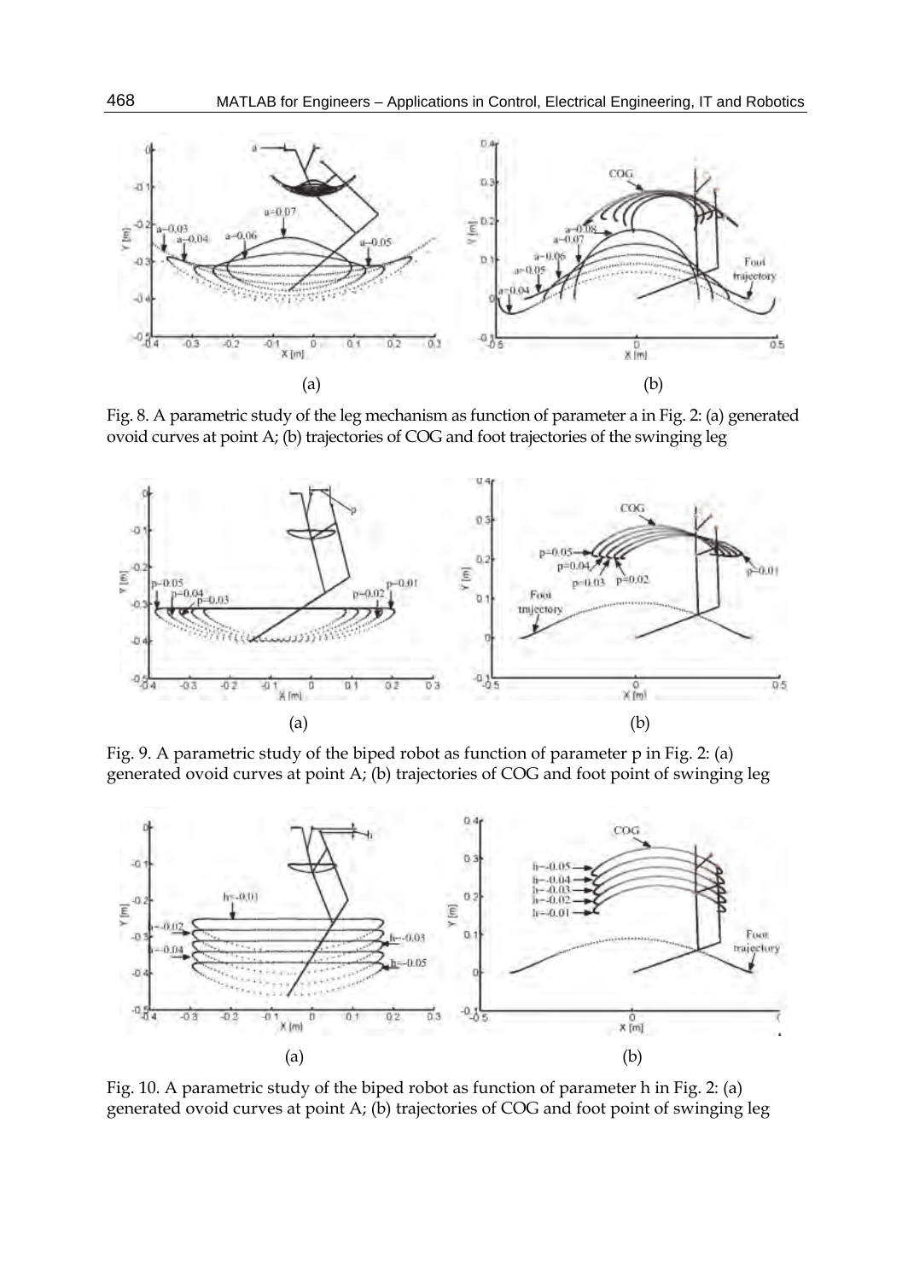

Fig. 8. A parametric study of the leg mechanism as function of parameter a in Fig. 2: (a) generated ovoid curves at point A; (b) trajectories of COG and foot trajectories of the swinging leg



Fig. 9. A parametric study of the biped robot as function of parameter p in Fig. 2: (a) generated ovoid curves at point A; (b) trajectories of COG and foot point of swinging leg



Fig. 10. A parametric study of the biped robot as function of parameter h in Fig. 2: (a) generated ovoid curves at point A; (b) trajectories of COG and foot point of swinging leg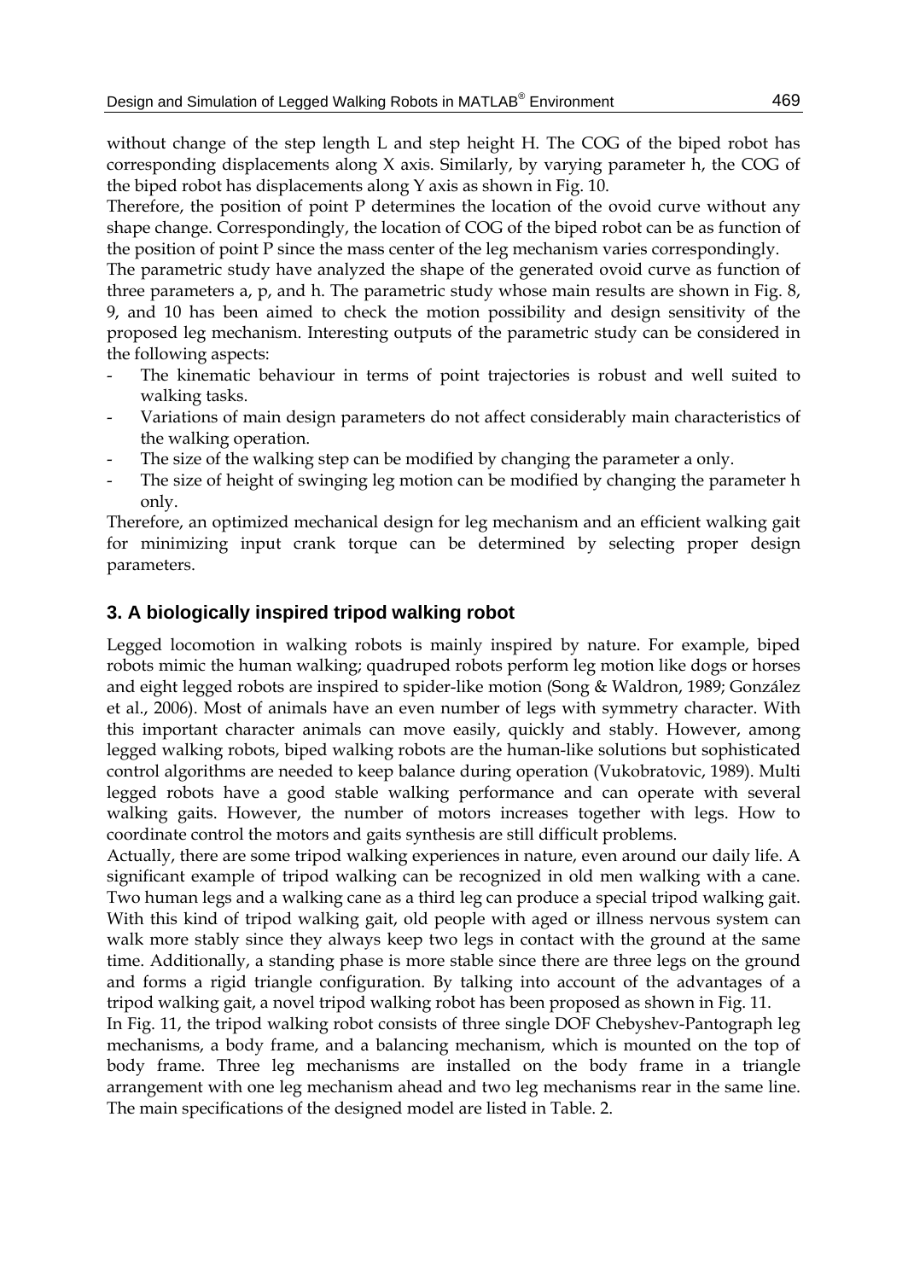without change of the step length L and step height H. The COG of the biped robot has corresponding displacements along X axis. Similarly, by varying parameter h, the COG of the biped robot has displacements along Y axis as shown in Fig. 10.

Therefore, the position of point P determines the location of the ovoid curve without any shape change. Correspondingly, the location of COG of the biped robot can be as function of the position of point P since the mass center of the leg mechanism varies correspondingly.

The parametric study have analyzed the shape of the generated ovoid curve as function of three parameters a, p, and h. The parametric study whose main results are shown in Fig. 8, 9, and 10 has been aimed to check the motion possibility and design sensitivity of the proposed leg mechanism. Interesting outputs of the parametric study can be considered in the following aspects:

- The kinematic behaviour in terms of point trajectories is robust and well suited to walking tasks.
- Variations of main design parameters do not affect considerably main characteristics of the walking operation.
- The size of the walking step can be modified by changing the parameter a only.
- The size of height of swinging leg motion can be modified by changing the parameter h only.

Therefore, an optimized mechanical design for leg mechanism and an efficient walking gait for minimizing input crank torque can be determined by selecting proper design parameters.

## **3. A biologically inspired tripod walking robot**

Legged locomotion in walking robots is mainly inspired by nature. For example, biped robots mimic the human walking; quadruped robots perform leg motion like dogs or horses and eight legged robots are inspired to spider-like motion (Song & Waldron, 1989; González et al., 2006). Most of animals have an even number of legs with symmetry character. With this important character animals can move easily, quickly and stably. However, among legged walking robots, biped walking robots are the human-like solutions but sophisticated control algorithms are needed to keep balance during operation (Vukobratovic, 1989). Multi legged robots have a good stable walking performance and can operate with several walking gaits. However, the number of motors increases together with legs. How to coordinate control the motors and gaits synthesis are still difficult problems.

Actually, there are some tripod walking experiences in nature, even around our daily life. A significant example of tripod walking can be recognized in old men walking with a cane. Two human legs and a walking cane as a third leg can produce a special tripod walking gait. With this kind of tripod walking gait, old people with aged or illness nervous system can walk more stably since they always keep two legs in contact with the ground at the same time. Additionally, a standing phase is more stable since there are three legs on the ground and forms a rigid triangle configuration. By talking into account of the advantages of a tripod walking gait, a novel tripod walking robot has been proposed as shown in Fig. 11.

In Fig. 11, the tripod walking robot consists of three single DOF Chebyshev-Pantograph leg mechanisms, a body frame, and a balancing mechanism, which is mounted on the top of body frame. Three leg mechanisms are installed on the body frame in a triangle arrangement with one leg mechanism ahead and two leg mechanisms rear in the same line. The main specifications of the designed model are listed in Table. 2.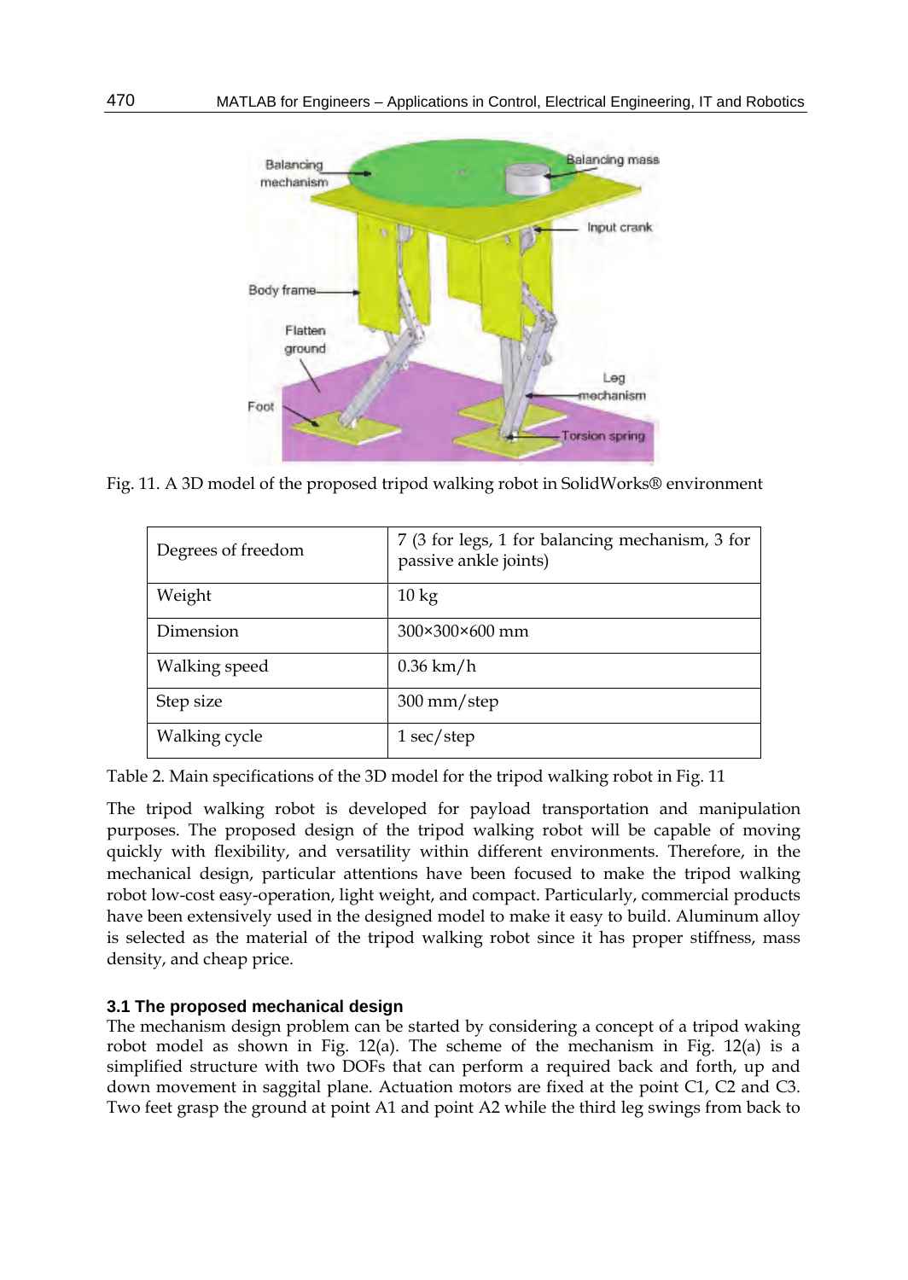

Fig. 11. A 3D model of the proposed tripod walking robot in SolidWorks® environment

| Degrees of freedom | 7 (3 for legs, 1 for balancing mechanism, 3 for<br>passive ankle joints) |  |  |
|--------------------|--------------------------------------------------------------------------|--|--|
| Weight             | $10 \text{ kg}$                                                          |  |  |
| Dimension          | 300×300×600 mm                                                           |  |  |
| Walking speed      | $0.36$ km/h                                                              |  |  |
| Step size          | $300 \text{ mm} / \text{step}$                                           |  |  |
| Walking cycle      | $1 \text{ sec} / \text{step}$                                            |  |  |

Table 2. Main specifications of the 3D model for the tripod walking robot in Fig. 11

The tripod walking robot is developed for payload transportation and manipulation purposes. The proposed design of the tripod walking robot will be capable of moving quickly with flexibility, and versatility within different environments. Therefore, in the mechanical design, particular attentions have been focused to make the tripod walking robot low-cost easy-operation, light weight, and compact. Particularly, commercial products have been extensively used in the designed model to make it easy to build. Aluminum alloy is selected as the material of the tripod walking robot since it has proper stiffness, mass density, and cheap price.

### **3.1 The proposed mechanical design**

The mechanism design problem can be started by considering a concept of a tripod waking robot model as shown in Fig. 12(a). The scheme of the mechanism in Fig. 12(a) is a simplified structure with two DOFs that can perform a required back and forth, up and down movement in saggital plane. Actuation motors are fixed at the point C1, C2 and C3. Two feet grasp the ground at point A1 and point A2 while the third leg swings from back to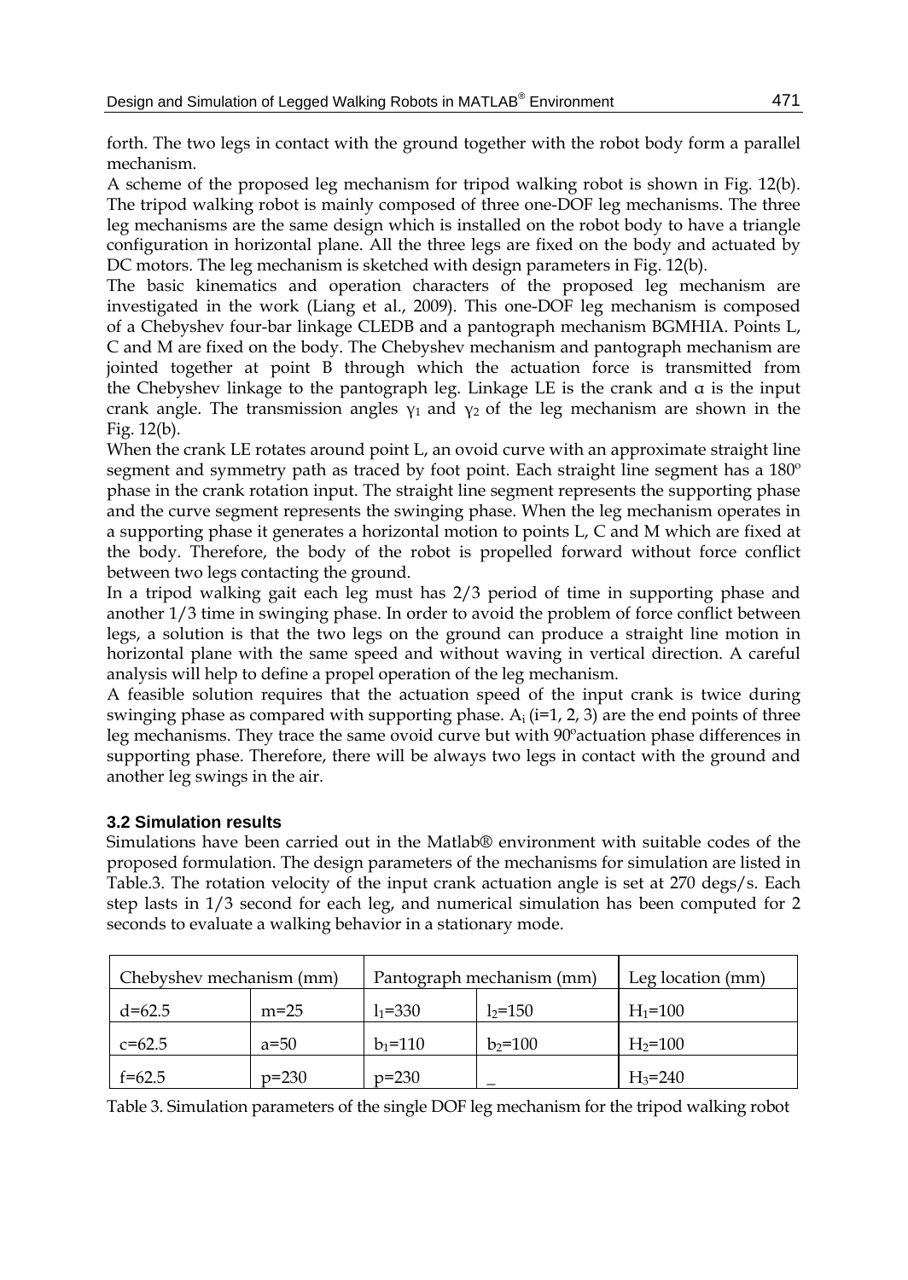forth. The two legs in contact with the ground together with the robot body form a parallel mechanism.

A scheme of the proposed leg mechanism for tripod walking robot is shown in Fig. 12(b). The tripod walking robot is mainly composed of three one-DOF leg mechanisms. The three leg mechanisms are the same design which is installed on the robot body to have a triangle configuration in horizontal plane. All the three legs are fixed on the body and actuated by DC motors. The leg mechanism is sketched with design parameters in Fig. 12(b).

The basic kinematics and operation characters of the proposed leg mechanism are investigated in the work (Liang et al., 2009). This one-DOF leg mechanism is composed of a Chebyshev four-bar linkage CLEDB and a pantograph mechanism BGMHIA. Points L, C and M are fixed on the body. The Chebyshev mechanism and pantograph mechanism are jointed together at point B through which the actuation force is transmitted from the Chebyshev linkage to the pantograph leg. Linkage LE is the crank and  $\alpha$  is the input crank angle. The transmission angles  $y_1$  and  $y_2$  of the leg mechanism are shown in the Fig. 12(b).

When the crank LE rotates around point L, an ovoid curve with an approximate straight line segment and symmetry path as traced by foot point. Each straight line segment has a 180º phase in the crank rotation input. The straight line segment represents the supporting phase and the curve segment represents the swinging phase. When the leg mechanism operates in a supporting phase it generates a horizontal motion to points L, C and M which are fixed at the body. Therefore, the body of the robot is propelled forward without force conflict between two legs contacting the ground.

In a tripod walking gait each leg must has 2/3 period of time in supporting phase and another 1/3 time in swinging phase. In order to avoid the problem of force conflict between legs, a solution is that the two legs on the ground can produce a straight line motion in horizontal plane with the same speed and without waving in vertical direction. A careful analysis will help to define a propel operation of the leg mechanism.

A feasible solution requires that the actuation speed of the input crank is twice during swinging phase as compared with supporting phase.  $A_i$  (i=1, 2, 3) are the end points of three leg mechanisms. They trace the same ovoid curve but with 90ºactuation phase differences in supporting phase. Therefore, there will be always two legs in contact with the ground and another leg swings in the air.

## **3.2 Simulation results**

Simulations have been carried out in the Matlab® environment with suitable codes of the proposed formulation. The design parameters of the mechanisms for simulation are listed in Table.3. The rotation velocity of the input crank actuation angle is set at 270 degs/s. Each step lasts in 1/3 second for each leg, and numerical simulation has been computed for 2 seconds to evaluate a walking behavior in a stationary mode.

| Chebyshev mechanism (mm) |         | Pantograph mechanism (mm) |             | Leg location (mm) |
|--------------------------|---------|---------------------------|-------------|-------------------|
| $d = 62.5$               | $m=25$  | $11=330$                  | $12 = 150$  | $H_1 = 100$       |
| $c = 62.5$               | $a=50$  | $b_1 = 110$               | $b_2 = 100$ | $H_2 = 100$       |
| $f=62.5$                 | $p=230$ | $p=230$                   |             | $H_3 = 240$       |

Table 3. Simulation parameters of the single DOF leg mechanism for the tripod walking robot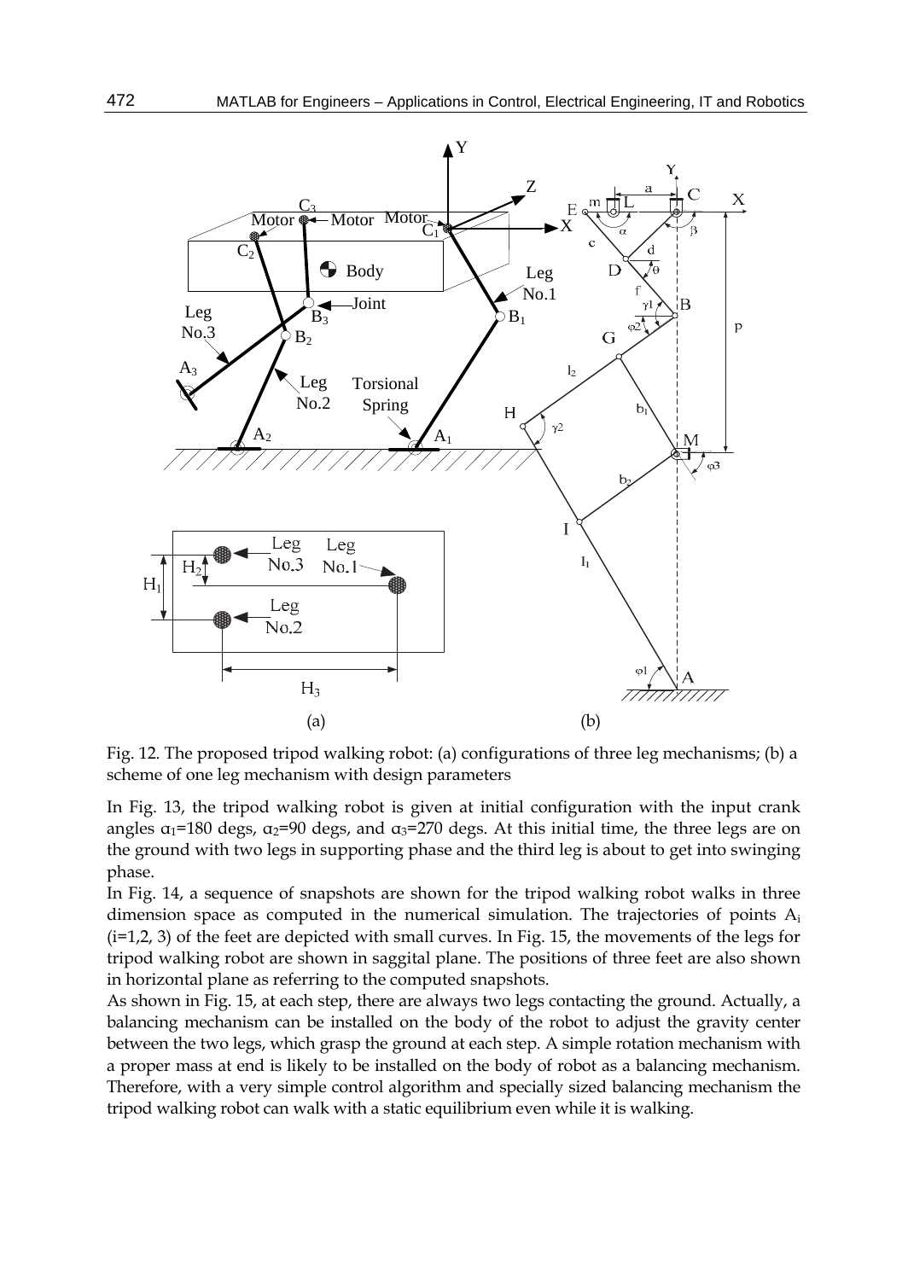

Fig. 12. The proposed tripod walking robot: (a) configurations of three leg mechanisms; (b) a scheme of one leg mechanism with design parameters

In Fig. 13, the tripod walking robot is given at initial configuration with the input crank angles  $\alpha_1$ =180 degs,  $\alpha_2$ =90 degs, and  $\alpha_3$ =270 degs. At this initial time, the three legs are on the ground with two legs in supporting phase and the third leg is about to get into swinging phase.

In Fig. 14, a sequence of snapshots are shown for the tripod walking robot walks in three dimension space as computed in the numerical simulation. The trajectories of points  $A_i$ (i=1,2, 3) of the feet are depicted with small curves. In Fig. 15, the movements of the legs for tripod walking robot are shown in saggital plane. The positions of three feet are also shown in horizontal plane as referring to the computed snapshots.

As shown in Fig. 15, at each step, there are always two legs contacting the ground. Actually, a balancing mechanism can be installed on the body of the robot to adjust the gravity center between the two legs, which grasp the ground at each step. A simple rotation mechanism with a proper mass at end is likely to be installed on the body of robot as a balancing mechanism. Therefore, with a very simple control algorithm and specially sized balancing mechanism the tripod walking robot can walk with a static equilibrium even while it is walking.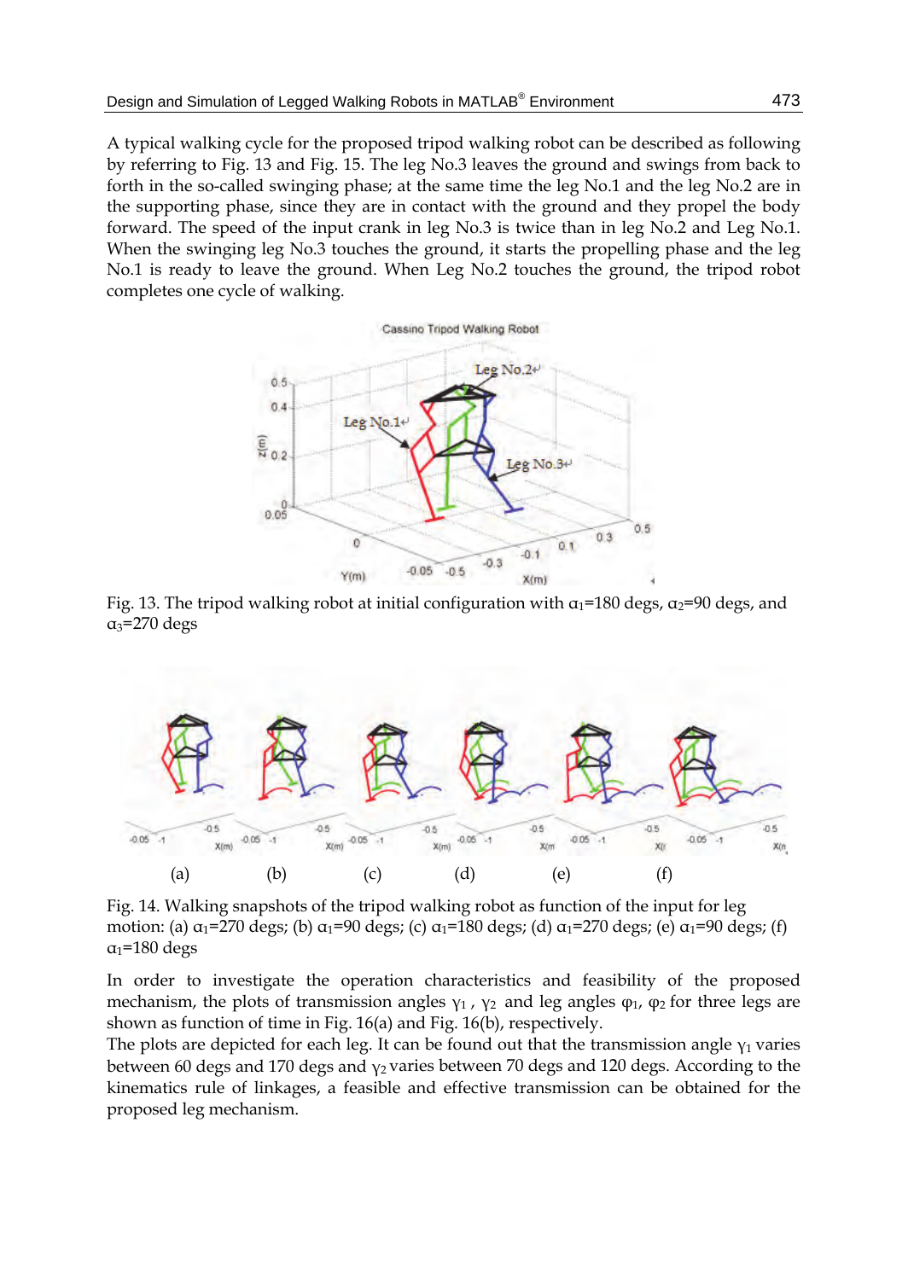A typical walking cycle for the proposed tripod walking robot can be described as following by referring to Fig. 13 and Fig. 15. The leg No.3 leaves the ground and swings from back to forth in the so-called swinging phase; at the same time the leg No.1 and the leg No.2 are in the supporting phase, since they are in contact with the ground and they propel the body forward. The speed of the input crank in leg No.3 is twice than in leg No.2 and Leg No.1. When the swinging leg No.3 touches the ground, it starts the propelling phase and the leg No.1 is ready to leave the ground. When Leg No.2 touches the ground, the tripod robot completes one cycle of walking.



Fig. 13. The tripod walking robot at initial configuration with  $\alpha_1$ =180 degs,  $\alpha_2$ =90 degs, and  $\alpha_3$ =270 degs



Fig. 14. Walking snapshots of the tripod walking robot as function of the input for leg motion: (a)  $\alpha_1$ =270 degs; (b)  $\alpha_1$ =90 degs; (c)  $\alpha_1$ =180 degs; (d)  $\alpha_1$ =270 degs; (e)  $\alpha_1$ =90 degs; (f)  $\alpha_1$ =180 degs

In order to investigate the operation characteristics and feasibility of the proposed mechanism, the plots of transmission angles  $\gamma_1$ ,  $\gamma_2$  and leg angles  $\varphi_1$ ,  $\varphi_2$  for three legs are shown as function of time in Fig. 16(a) and Fig. 16(b), respectively.

The plots are depicted for each leg. It can be found out that the transmission angle  $\gamma_1$  varies between 60 degs and 170 degs and  $y_2$  varies between 70 degs and 120 degs. According to the kinematics rule of linkages, a feasible and effective transmission can be obtained for the proposed leg mechanism.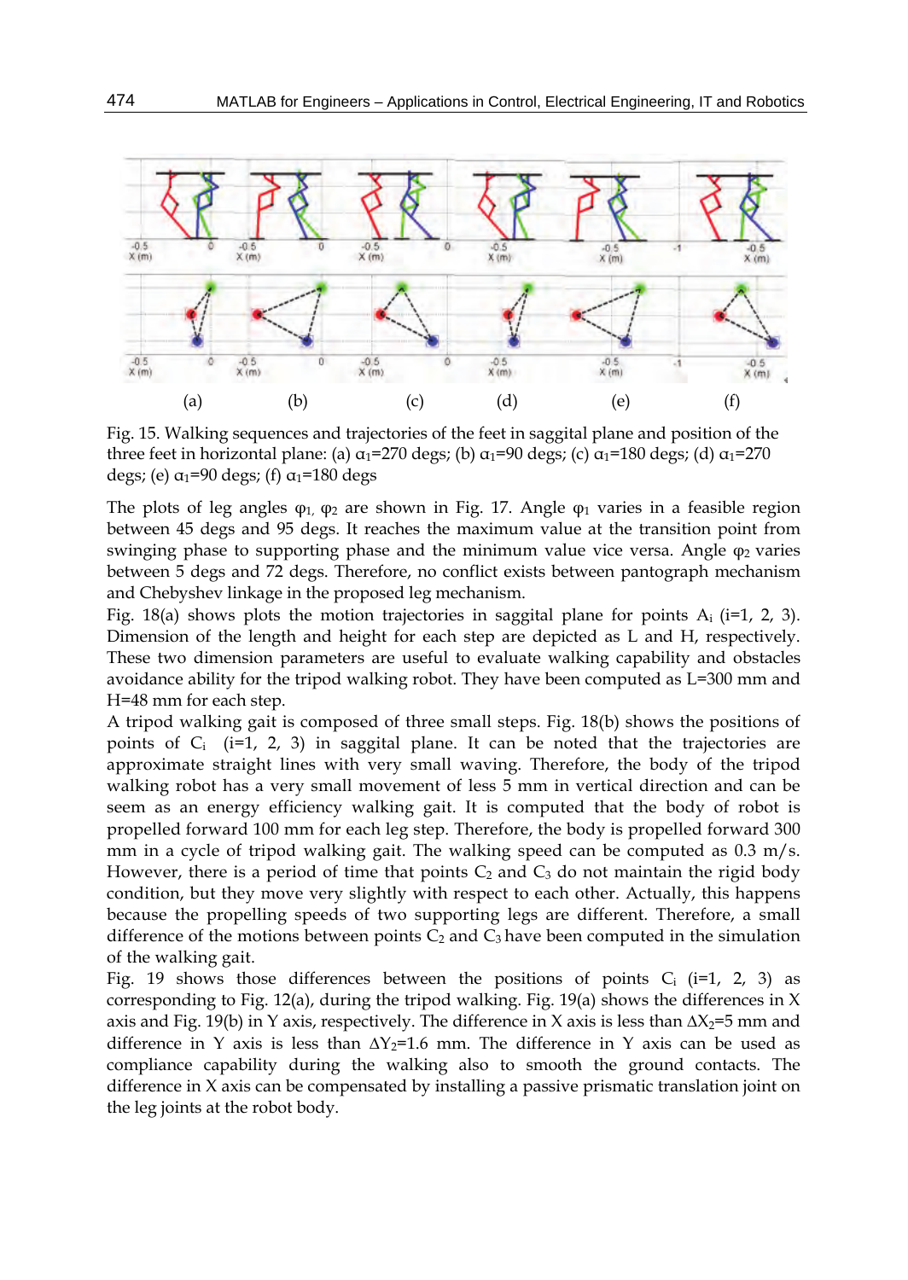

Fig. 15. Walking sequences and trajectories of the feet in saggital plane and position of the three feet in horizontal plane: (a)  $\alpha_1$ =270 degs; (b)  $\alpha_1$ =90 degs; (c)  $\alpha_1$ =180 degs; (d)  $\alpha_1$ =270 degs; (e)  $\alpha_1$ =90 degs; (f)  $\alpha_1$ =180 degs

The plots of leg angles  $\varphi_1$ ,  $\varphi_2$  are shown in Fig. 17. Angle  $\varphi_1$  varies in a feasible region between 45 degs and 95 degs. It reaches the maximum value at the transition point from swinging phase to supporting phase and the minimum value vice versa. Angle  $\varphi_2$  varies between 5 degs and 72 degs. Therefore, no conflict exists between pantograph mechanism and Chebyshev linkage in the proposed leg mechanism.

Fig. 18(a) shows plots the motion trajectories in saggital plane for points  $A_i$  (i=1, 2, 3). Dimension of the length and height for each step are depicted as L and H, respectively. These two dimension parameters are useful to evaluate walking capability and obstacles avoidance ability for the tripod walking robot. They have been computed as L=300 mm and H=48 mm for each step.

A tripod walking gait is composed of three small steps. Fig. 18(b) shows the positions of points of  $C_i$  (i=1, 2, 3) in saggital plane. It can be noted that the trajectories are approximate straight lines with very small waving. Therefore, the body of the tripod walking robot has a very small movement of less 5 mm in vertical direction and can be seem as an energy efficiency walking gait. It is computed that the body of robot is propelled forward 100 mm for each leg step. Therefore, the body is propelled forward 300 mm in a cycle of tripod walking gait. The walking speed can be computed as 0.3 m/s. However, there is a period of time that points  $C_2$  and  $C_3$  do not maintain the rigid body condition, but they move very slightly with respect to each other. Actually, this happens because the propelling speeds of two supporting legs are different. Therefore, a small difference of the motions between points  $C_2$  and  $C_3$  have been computed in the simulation of the walking gait.

Fig. 19 shows those differences between the positions of points  $C_i$  (i=1, 2, 3) as corresponding to Fig. 12(a), during the tripod walking. Fig. 19(a) shows the differences in  $X$ axis and Fig. 19(b) in Y axis, respectively. The difference in X axis is less than  $\Delta X_2$ =5 mm and difference in Y axis is less than  $\Delta Y_2$ =1.6 mm. The difference in Y axis can be used as compliance capability during the walking also to smooth the ground contacts. The difference in X axis can be compensated by installing a passive prismatic translation joint on the leg joints at the robot body.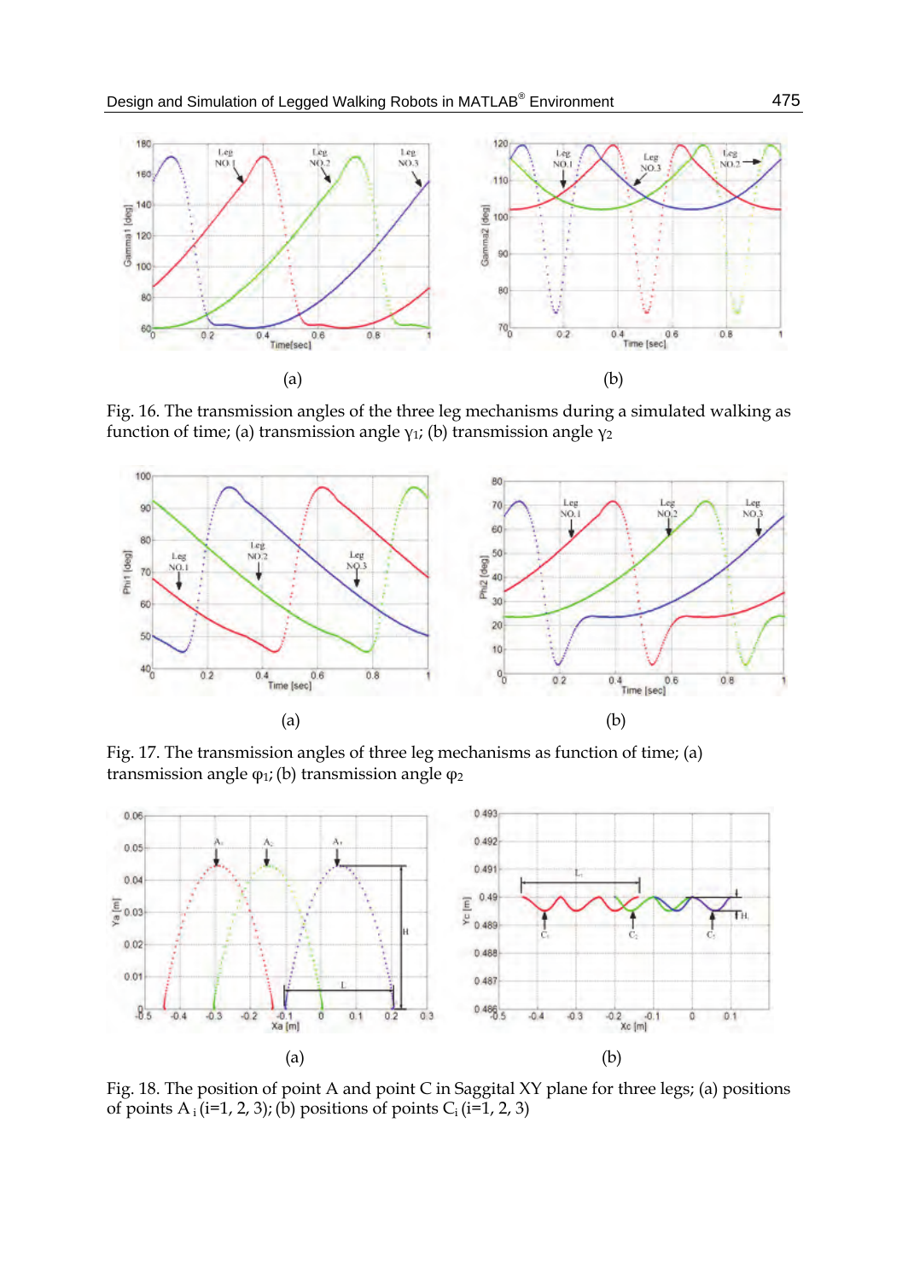

Fig. 16. The transmission angles of the three leg mechanisms during a simulated walking as function of time; (a) transmission angle γ<sub>1</sub>; (b) transmission angle γ<sub>2</sub>



Fig. 17. The transmission angles of three leg mechanisms as function of time; (a) transmission angle  $φ_1$ ; (b) transmission angle  $φ_2$ 



Fig. 18. The position of point A and point C in Saggital XY plane for three legs; (a) positions of points  $A_i$  (i=1, 2, 3); (b) positions of points  $C_i$  (i=1, 2, 3)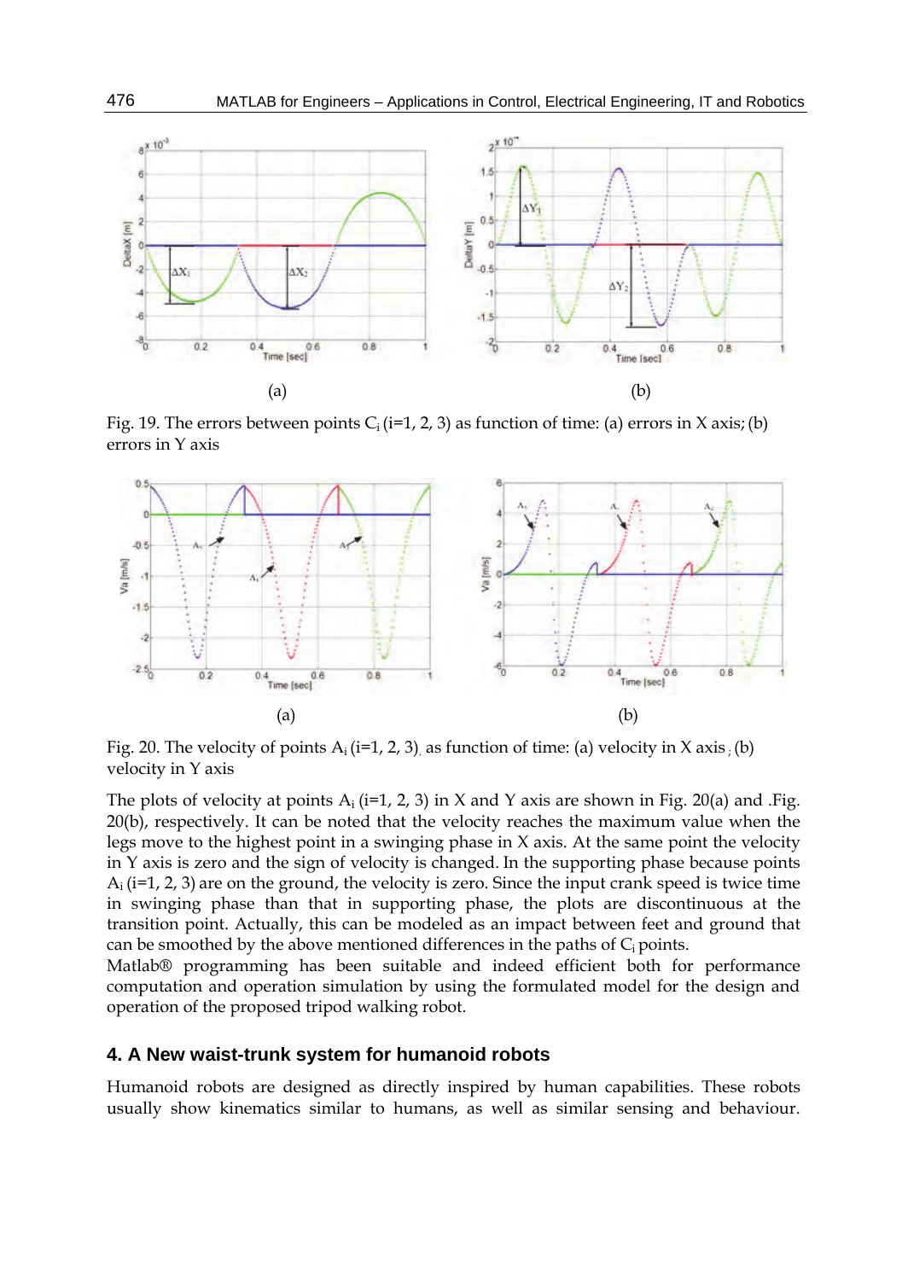

Fig. 19. The errors between points  $C_i$  (i=1, 2, 3) as function of time: (a) errors in X axis; (b) errors in Y axis



Fig. 20. The velocity of points  $A_i$  (i=1, 2, 3), as function of time: (a) velocity in X axis ; (b) velocity in Y axis

The plots of velocity at points  $A_i$  (i=1, 2, 3) in X and Y axis are shown in Fig. 20(a) and .Fig. 20(b), respectively. It can be noted that the velocity reaches the maximum value when the legs move to the highest point in a swinging phase in X axis. At the same point the velocity in Y axis is zero and the sign of velocity is changed. In the supporting phase because points  $A_i$  (i=1, 2, 3) are on the ground, the velocity is zero. Since the input crank speed is twice time in swinging phase than that in supporting phase, the plots are discontinuous at the transition point. Actually, this can be modeled as an impact between feet and ground that can be smoothed by the above mentioned differences in the paths of  $C_i$  points.

Matlab® programming has been suitable and indeed efficient both for performance computation and operation simulation by using the formulated model for the design and operation of the proposed tripod walking robot.

### **4. A New waist-trunk system for humanoid robots**

Humanoid robots are designed as directly inspired by human capabilities. These robots usually show kinematics similar to humans, as well as similar sensing and behaviour.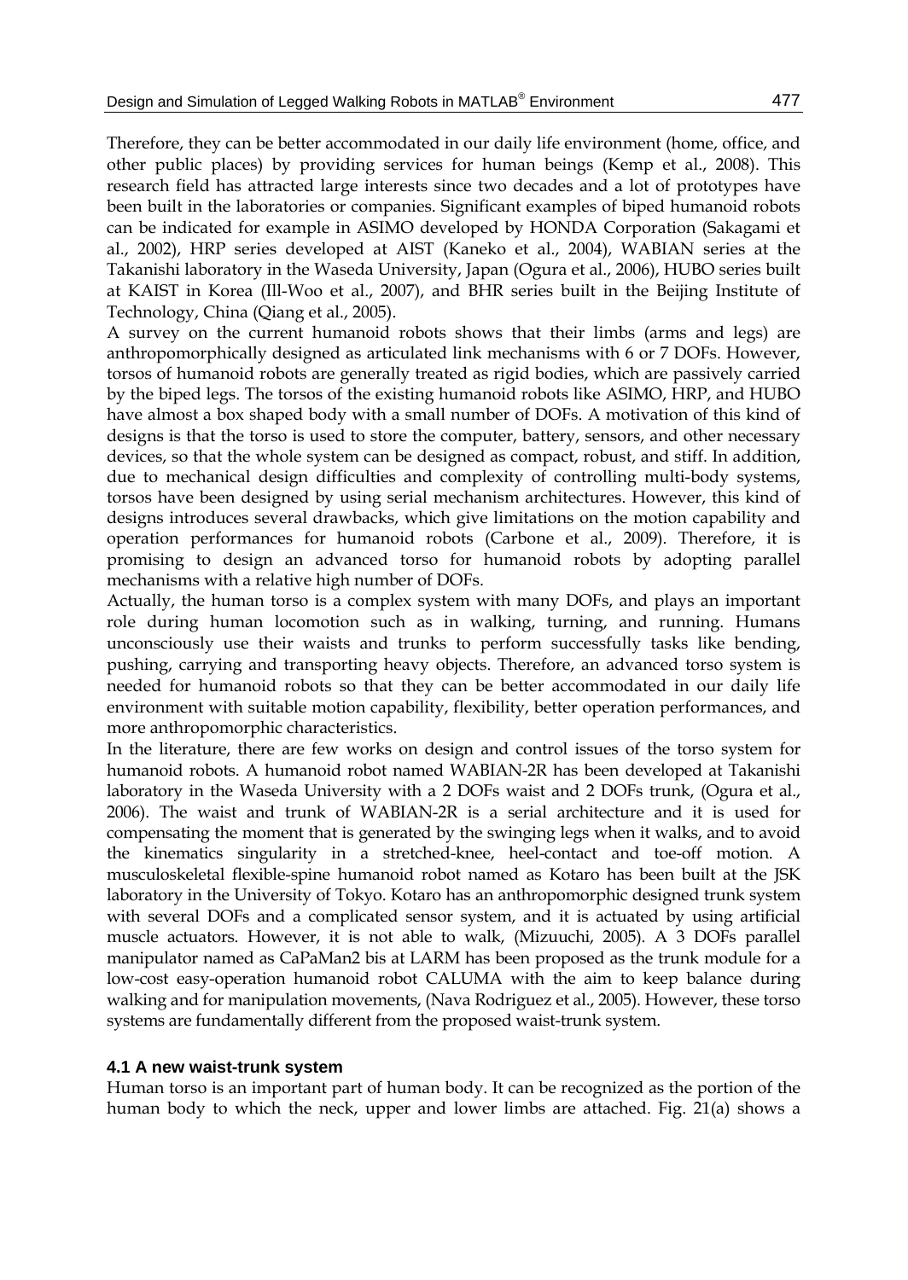Therefore, they can be better accommodated in our daily life environment (home, office, and other public places) by providing services for human beings (Kemp et al., 2008). This research field has attracted large interests since two decades and a lot of prototypes have been built in the laboratories or companies. Significant examples of biped humanoid robots can be indicated for example in ASIMO developed by HONDA Corporation (Sakagami et al., 2002), HRP series developed at AIST (Kaneko et al., 2004), WABIAN series at the Takanishi laboratory in the Waseda University, Japan (Ogura et al., 2006), HUBO series built at KAIST in Korea (Ill-Woo et al., 2007), and BHR series built in the Beijing Institute of Technology, China (Qiang et al., 2005).

A survey on the current humanoid robots shows that their limbs (arms and legs) are anthropomorphically designed as articulated link mechanisms with 6 or 7 DOFs. However, torsos of humanoid robots are generally treated as rigid bodies, which are passively carried by the biped legs. The torsos of the existing humanoid robots like ASIMO, HRP, and HUBO have almost a box shaped body with a small number of DOFs. A motivation of this kind of designs is that the torso is used to store the computer, battery, sensors, and other necessary devices, so that the whole system can be designed as compact, robust, and stiff. In addition, due to mechanical design difficulties and complexity of controlling multi-body systems, torsos have been designed by using serial mechanism architectures. However, this kind of designs introduces several drawbacks, which give limitations on the motion capability and operation performances for humanoid robots (Carbone et al., 2009). Therefore, it is promising to design an advanced torso for humanoid robots by adopting parallel mechanisms with a relative high number of DOFs.

Actually, the human torso is a complex system with many DOFs, and plays an important role during human locomotion such as in walking, turning, and running. Humans unconsciously use their waists and trunks to perform successfully tasks like bending, pushing, carrying and transporting heavy objects. Therefore, an advanced torso system is needed for humanoid robots so that they can be better accommodated in our daily life environment with suitable motion capability, flexibility, better operation performances, and more anthropomorphic characteristics.

In the literature, there are few works on design and control issues of the torso system for humanoid robots. A humanoid robot named WABIAN-2R has been developed at Takanishi laboratory in the Waseda University with a 2 DOFs waist and 2 DOFs trunk, (Ogura et al., 2006). The waist and trunk of WABIAN-2R is a serial architecture and it is used for compensating the moment that is generated by the swinging legs when it walks, and to avoid the kinematics singularity in a stretched-knee, heel-contact and toe-off motion. A musculoskeletal flexible-spine humanoid robot named as Kotaro has been built at the JSK laboratory in the University of Tokyo. Kotaro has an anthropomorphic designed trunk system with several DOFs and a complicated sensor system, and it is actuated by using artificial muscle actuators. However, it is not able to walk, (Mizuuchi, 2005). A 3 DOFs parallel manipulator named as CaPaMan2 bis at LARM has been proposed as the trunk module for a low-cost easy-operation humanoid robot CALUMA with the aim to keep balance during walking and for manipulation movements, (Nava Rodriguez et al., 2005). However, these torso systems are fundamentally different from the proposed waist-trunk system.

### **4.1 A new waist-trunk system**

Human torso is an important part of human body. It can be recognized as the portion of the human body to which the neck, upper and lower limbs are attached. Fig. 21(a) shows a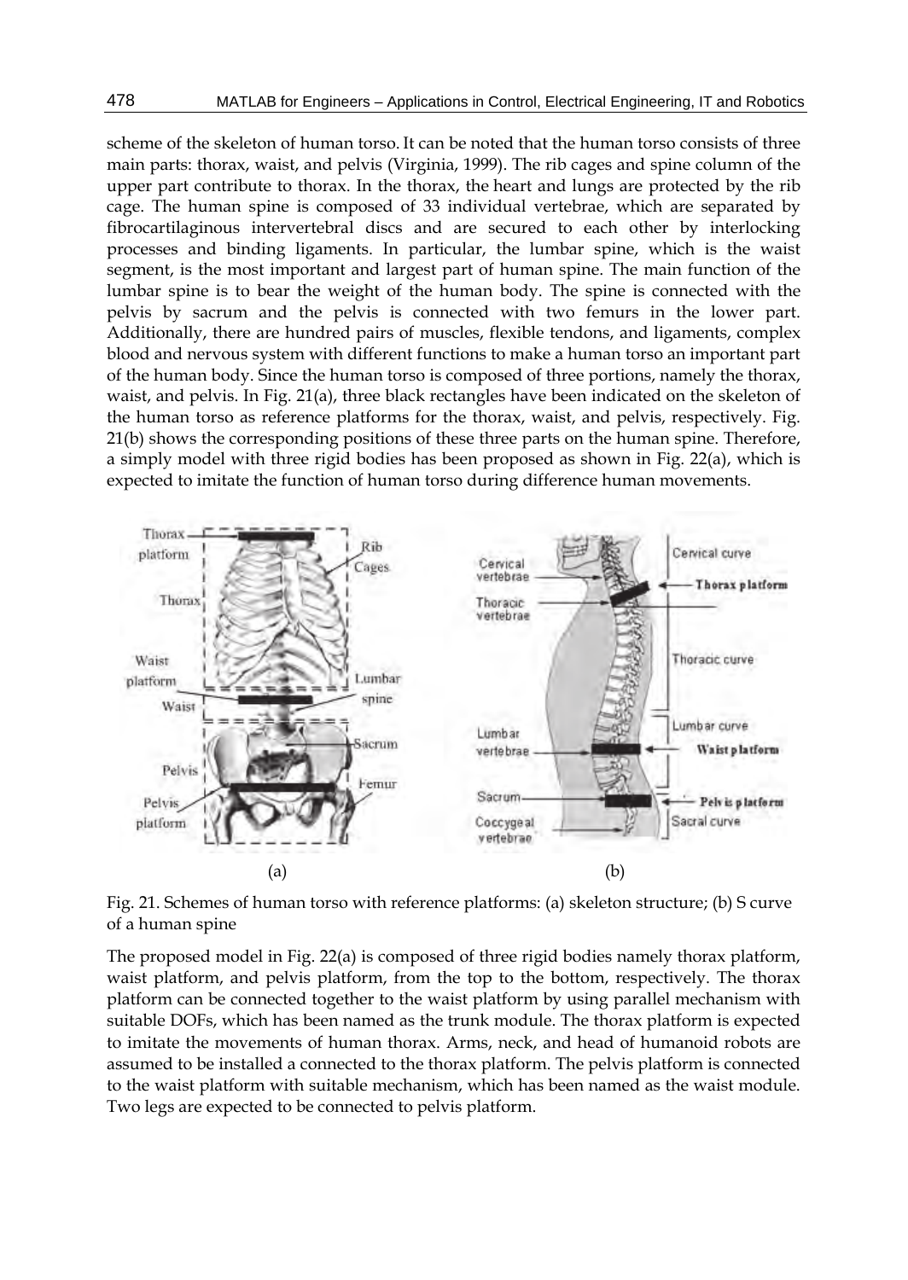scheme of the skeleton of human torso. It can be noted that the human torso consists of three main parts: thorax, waist, and pelvis (Virginia, 1999). The rib cages and spine column of the upper part contribute to thorax. In the thorax, the heart and lungs are protected by the rib cage. The human spine is composed of 33 individual vertebrae, which are separated by fibrocartilaginous intervertebral discs and are secured to each other by interlocking processes and binding ligaments. In particular, the lumbar spine, which is the waist segment, is the most important and largest part of human spine. The main function of the lumbar spine is to bear the weight of the human body. The spine is connected with the pelvis by sacrum and the pelvis is connected with two femurs in the lower part. Additionally, there are hundred pairs of muscles, flexible tendons, and ligaments, complex blood and nervous system with different functions to make a human torso an important part of the human body. Since the human torso is composed of three portions, namely the thorax, waist, and pelvis. In Fig. 21(a), three black rectangles have been indicated on the skeleton of the human torso as reference platforms for the thorax, waist, and pelvis, respectively. Fig. 21(b) shows the corresponding positions of these three parts on the human spine. Therefore, a simply model with three rigid bodies has been proposed as shown in Fig. 22(a), which is expected to imitate the function of human torso during difference human movements.



Fig. 21. Schemes of human torso with reference platforms: (a) skeleton structure; (b) S curve of a human spine

The proposed model in Fig. 22(a) is composed of three rigid bodies namely thorax platform, waist platform, and pelvis platform, from the top to the bottom, respectively. The thorax platform can be connected together to the waist platform by using parallel mechanism with suitable DOFs, which has been named as the trunk module. The thorax platform is expected to imitate the movements of human thorax. Arms, neck, and head of humanoid robots are assumed to be installed a connected to the thorax platform. The pelvis platform is connected to the waist platform with suitable mechanism, which has been named as the waist module. Two legs are expected to be connected to pelvis platform.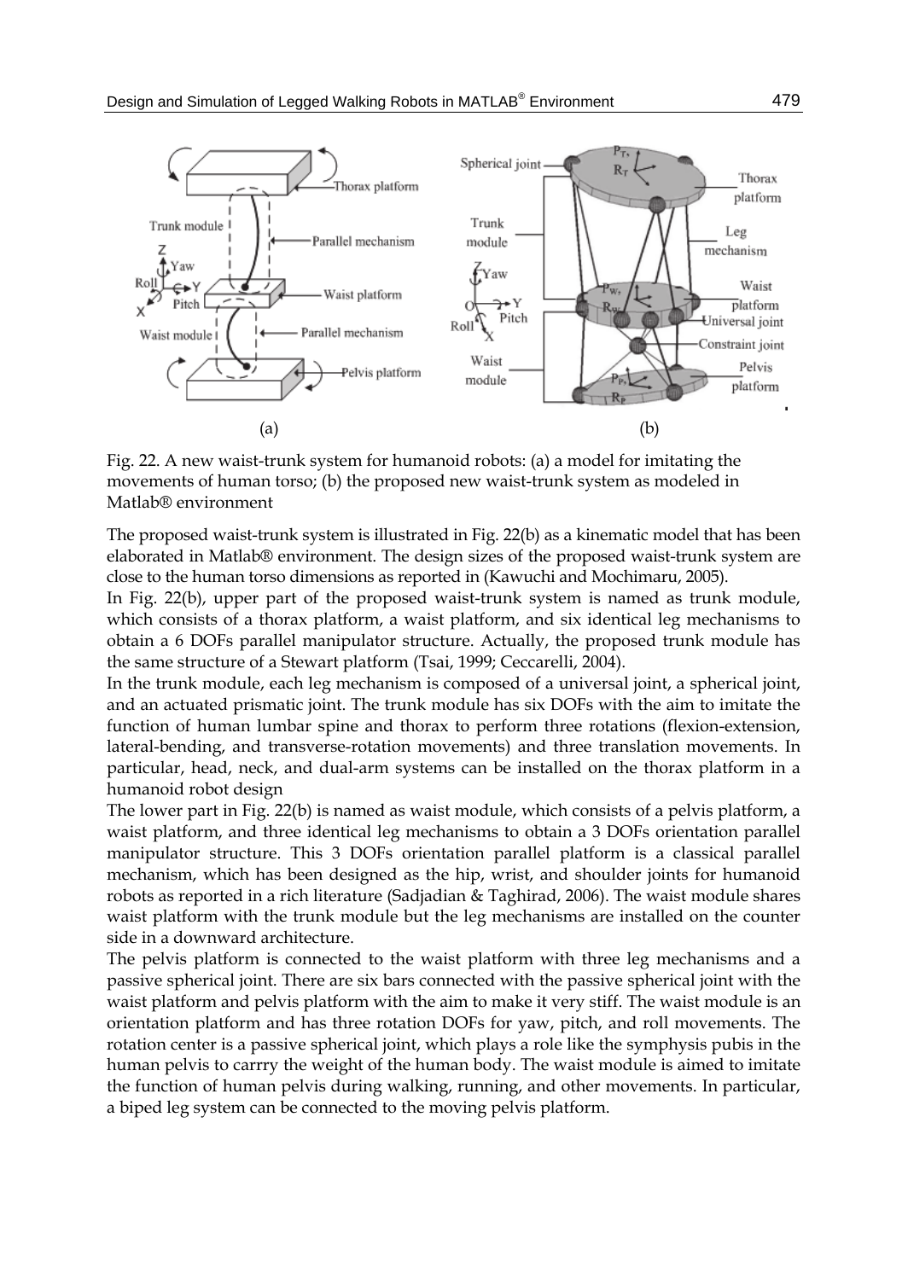

Fig. 22. A new waist-trunk system for humanoid robots: (a) a model for imitating the movements of human torso; (b) the proposed new waist-trunk system as modeled in Matlab® environment

The proposed waist-trunk system is illustrated in Fig. 22(b) as a kinematic model that has been elaborated in Matlab® environment. The design sizes of the proposed waist-trunk system are close to the human torso dimensions as reported in (Kawuchi and Mochimaru, 2005).

In Fig. 22(b), upper part of the proposed waist-trunk system is named as trunk module, which consists of a thorax platform, a waist platform, and six identical leg mechanisms to obtain a 6 DOFs parallel manipulator structure. Actually, the proposed trunk module has the same structure of a Stewart platform (Tsai, 1999; Ceccarelli, 2004).

In the trunk module, each leg mechanism is composed of a universal joint, a spherical joint, and an actuated prismatic joint. The trunk module has six DOFs with the aim to imitate the function of human lumbar spine and thorax to perform three rotations (flexion-extension, lateral-bending, and transverse-rotation movements) and three translation movements. In particular, head, neck, and dual-arm systems can be installed on the thorax platform in a humanoid robot design

The lower part in Fig. 22(b) is named as waist module, which consists of a pelvis platform, a waist platform, and three identical leg mechanisms to obtain a 3 DOFs orientation parallel manipulator structure. This 3 DOFs orientation parallel platform is a classical parallel mechanism, which has been designed as the hip, wrist, and shoulder joints for humanoid robots as reported in a rich literature (Sadjadian & Taghirad, 2006). The waist module shares waist platform with the trunk module but the leg mechanisms are installed on the counter side in a downward architecture.

The pelvis platform is connected to the waist platform with three leg mechanisms and a passive spherical joint. There are six bars connected with the passive spherical joint with the waist platform and pelvis platform with the aim to make it very stiff. The waist module is an orientation platform and has three rotation DOFs for yaw, pitch, and roll movements. The rotation center is a passive spherical joint, which plays a role like the symphysis pubis in the human pelvis to carrry the weight of the human body. The waist module is aimed to imitate the function of human pelvis during walking, running, and other movements. In particular, a biped leg system can be connected to the moving pelvis platform.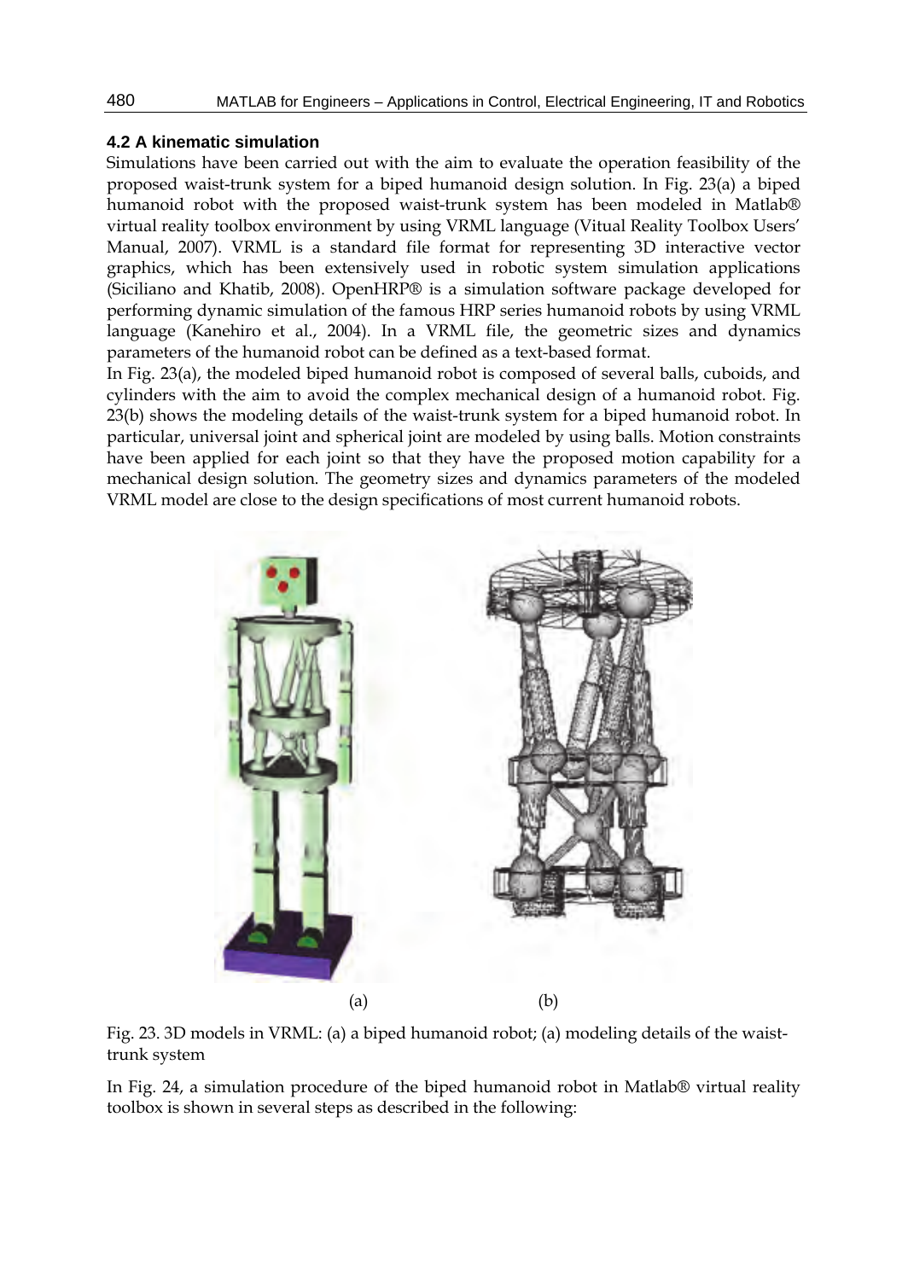## **4.2 A kinematic simulation**

Simulations have been carried out with the aim to evaluate the operation feasibility of the proposed waist-trunk system for a biped humanoid design solution. In Fig. 23(a) a biped humanoid robot with the proposed waist-trunk system has been modeled in Matlab® virtual reality toolbox environment by using VRML language (Vitual Reality Toolbox Users' Manual, 2007). VRML is a standard file format for representing 3D interactive vector graphics, which has been extensively used in robotic system simulation applications (Siciliano and Khatib, 2008). OpenHRP® is a simulation software package developed for performing dynamic simulation of the famous HRP series humanoid robots by using VRML language (Kanehiro et al., 2004). In a VRML file, the geometric sizes and dynamics parameters of the humanoid robot can be defined as a text-based format.

In Fig. 23(a), the modeled biped humanoid robot is composed of several balls, cuboids, and cylinders with the aim to avoid the complex mechanical design of a humanoid robot. Fig. 23(b) shows the modeling details of the waist-trunk system for a biped humanoid robot. In particular, universal joint and spherical joint are modeled by using balls. Motion constraints have been applied for each joint so that they have the proposed motion capability for a mechanical design solution. The geometry sizes and dynamics parameters of the modeled VRML model are close to the design specifications of most current humanoid robots.



Fig. 23. 3D models in VRML: (a) a biped humanoid robot; (a) modeling details of the waisttrunk system

In Fig. 24, a simulation procedure of the biped humanoid robot in Matlab® virtual reality toolbox is shown in several steps as described in the following: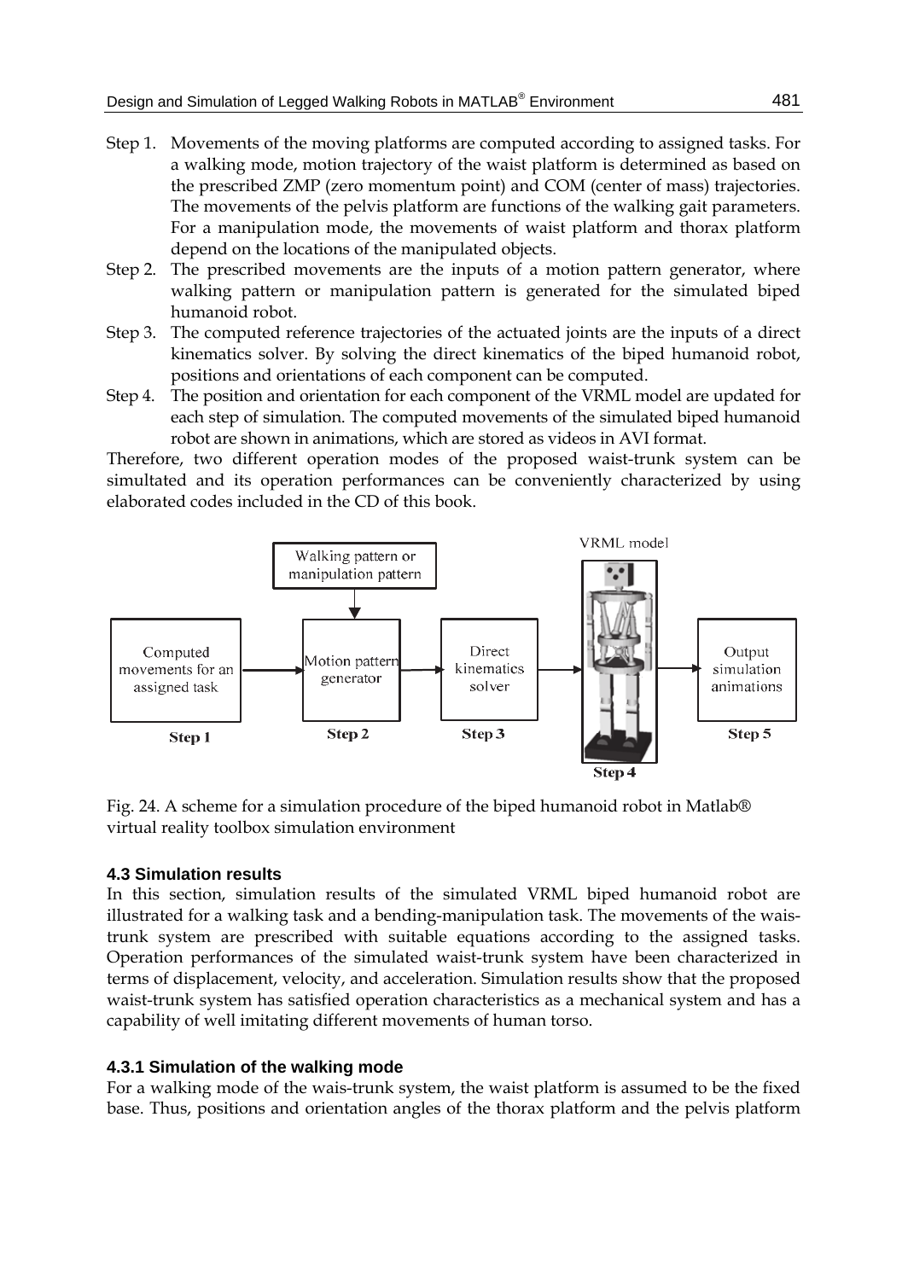- Step 1. Movements of the moving platforms are computed according to assigned tasks. For a walking mode, motion trajectory of the waist platform is determined as based on the prescribed ZMP (zero momentum point) and COM (center of mass) trajectories. The movements of the pelvis platform are functions of the walking gait parameters. For a manipulation mode, the movements of waist platform and thorax platform depend on the locations of the manipulated objects.
- Step 2. The prescribed movements are the inputs of a motion pattern generator, where walking pattern or manipulation pattern is generated for the simulated biped humanoid robot.
- Step 3. The computed reference trajectories of the actuated joints are the inputs of a direct kinematics solver. By solving the direct kinematics of the biped humanoid robot, positions and orientations of each component can be computed.
- Step 4. The position and orientation for each component of the VRML model are updated for each step of simulation. The computed movements of the simulated biped humanoid robot are shown in animations, which are stored as videos in AVI format.

Therefore, two different operation modes of the proposed waist-trunk system can be simultated and its operation performances can be conveniently characterized by using elaborated codes included in the CD of this book.



Fig. 24. A scheme for a simulation procedure of the biped humanoid robot in Matlab® virtual reality toolbox simulation environment

## **4.3 Simulation results**

In this section, simulation results of the simulated VRML biped humanoid robot are illustrated for a walking task and a bending-manipulation task. The movements of the waistrunk system are prescribed with suitable equations according to the assigned tasks. Operation performances of the simulated waist-trunk system have been characterized in terms of displacement, velocity, and acceleration. Simulation results show that the proposed waist-trunk system has satisfied operation characteristics as a mechanical system and has a capability of well imitating different movements of human torso.

## **4.3.1 Simulation of the walking mode**

For a walking mode of the wais-trunk system, the waist platform is assumed to be the fixed base. Thus, positions and orientation angles of the thorax platform and the pelvis platform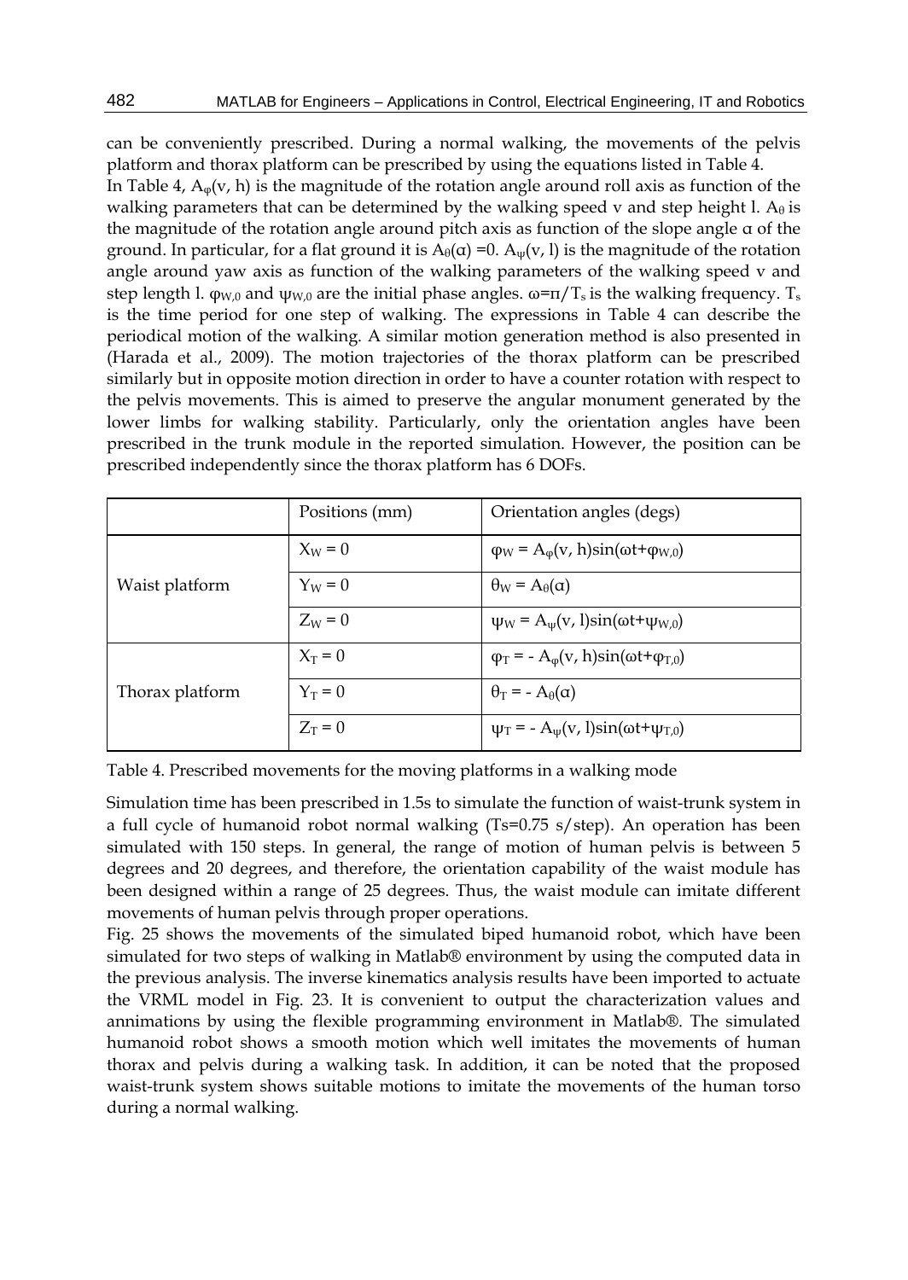can be conveniently prescribed. During a normal walking, the movements of the pelvis platform and thorax platform can be prescribed by using the equations listed in Table 4.

In Table 4,  $A_{\omega}(v, h)$  is the magnitude of the rotation angle around roll axis as function of the walking parameters that can be determined by the walking speed v and step height l.  $A_{\theta}$  is the magnitude of the rotation angle around pitch axis as function of the slope angle α of the ground. In particular, for a flat ground it is  $A_{\theta}(\alpha) = 0$ .  $A_{\psi}(\nu, 1)$  is the magnitude of the rotation angle around yaw axis as function of the walking parameters of the walking speed v and step length l.  $\varphi_{W,0}$  and  $\psi_{W,0}$  are the initial phase angles.  $\omega = \pi/T_s$  is the walking frequency. T<sub>s</sub> is the time period for one step of walking. The expressions in Table 4 can describe the periodical motion of the walking. A similar motion generation method is also presented in (Harada et al., 2009). The motion trajectories of the thorax platform can be prescribed similarly but in opposite motion direction in order to have a counter rotation with respect to the pelvis movements. This is aimed to preserve the angular monument generated by the lower limbs for walking stability. Particularly, only the orientation angles have been prescribed in the trunk module in the reported simulation. However, the position can be prescribed independently since the thorax platform has 6 DOFs.

|                 | Positions (mm) | Orientation angles (degs)                                                             |
|-----------------|----------------|---------------------------------------------------------------------------------------|
|                 | $X_W = 0$      | $\varphi_W = A_{\varphi}(v, h) \sin(\omega t + \varphi_{W,0})$                        |
| Waist platform  | $Y_W = 0$      | $\theta_W = A_\theta(\alpha)$                                                         |
|                 | $Z_W = 0$      | $\psi$ <sub>W</sub> = A <sub>\v</sub> (v, l)sin( $\omega$ t+ $\psi$ <sub>W,0</sub> )  |
|                 | $X_T = 0$      | $\varphi_T = -A_{\varphi}(v, h) \sin(\omega t + \varphi_{T,0})$                       |
| Thorax platform | $Y_T = 0$      | $\theta_T = -A_\theta(\alpha)$                                                        |
|                 | $Z_T = 0$      | $\psi$ <sub>T</sub> = - A <sub>w</sub> (v, l)sin( $\omega$ t+ $\psi$ <sub>T.0</sub> ) |

Table 4. Prescribed movements for the moving platforms in a walking mode

Simulation time has been prescribed in 1.5s to simulate the function of waist-trunk system in a full cycle of humanoid robot normal walking (Ts=0.75 s/step). An operation has been simulated with 150 steps. In general, the range of motion of human pelvis is between 5 degrees and 20 degrees, and therefore, the orientation capability of the waist module has been designed within a range of 25 degrees. Thus, the waist module can imitate different movements of human pelvis through proper operations.

Fig. 25 shows the movements of the simulated biped humanoid robot, which have been simulated for two steps of walking in Matlab® environment by using the computed data in the previous analysis. The inverse kinematics analysis results have been imported to actuate the VRML model in Fig. 23. It is convenient to output the characterization values and annimations by using the flexible programming environment in Matlab®. The simulated humanoid robot shows a smooth motion which well imitates the movements of human thorax and pelvis during a walking task. In addition, it can be noted that the proposed waist-trunk system shows suitable motions to imitate the movements of the human torso during a normal walking.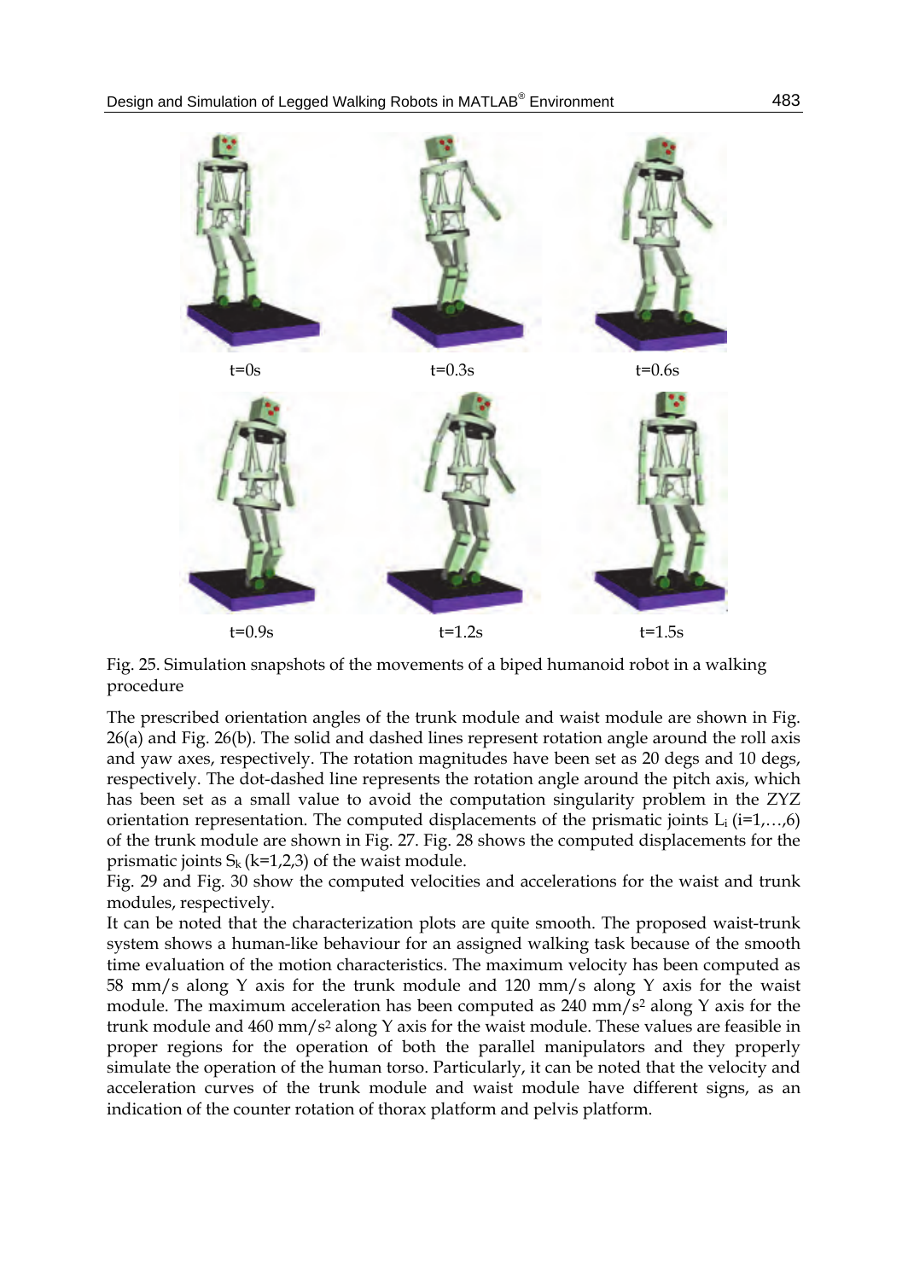

Fig. 25. Simulation snapshots of the movements of a biped humanoid robot in a walking procedure

The prescribed orientation angles of the trunk module and waist module are shown in Fig. 26(a) and Fig. 26(b). The solid and dashed lines represent rotation angle around the roll axis and yaw axes, respectively. The rotation magnitudes have been set as 20 degs and 10 degs, respectively. The dot-dashed line represents the rotation angle around the pitch axis, which has been set as a small value to avoid the computation singularity problem in the ZYZ orientation representation. The computed displacements of the prismatic joints  $L_i$  (i=1,...,6) of the trunk module are shown in Fig. 27. Fig. 28 shows the computed displacements for the prismatic joints  $S_k$  (k=1,2,3) of the waist module.

Fig. 29 and Fig. 30 show the computed velocities and accelerations for the waist and trunk modules, respectively.

It can be noted that the characterization plots are quite smooth. The proposed waist-trunk system shows a human-like behaviour for an assigned walking task because of the smooth time evaluation of the motion characteristics. The maximum velocity has been computed as 58 mm/s along Y axis for the trunk module and 120 mm/s along Y axis for the waist module. The maximum acceleration has been computed as  $240 \text{ mm/s}^2$  along Y axis for the trunk module and 460 mm/s2 along Y axis for the waist module. These values are feasible in proper regions for the operation of both the parallel manipulators and they properly simulate the operation of the human torso. Particularly, it can be noted that the velocity and acceleration curves of the trunk module and waist module have different signs, as an indication of the counter rotation of thorax platform and pelvis platform.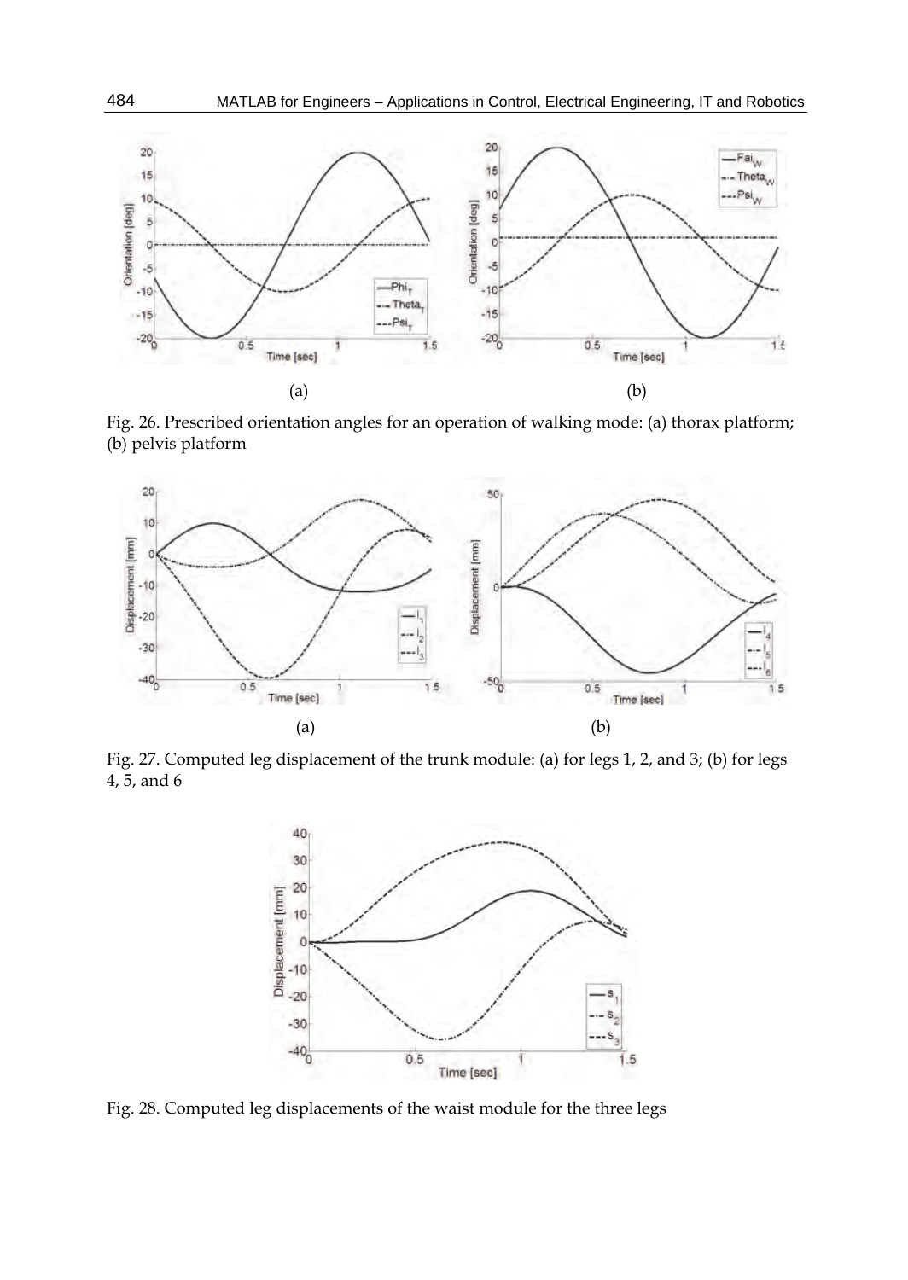

Fig. 26. Prescribed orientation angles for an operation of walking mode: (a) thorax platform; (b) pelvis platform



Fig. 27. Computed leg displacement of the trunk module: (a) for legs 1, 2, and 3; (b) for legs 4, 5, and 6



Fig. 28. Computed leg displacements of the waist module for the three legs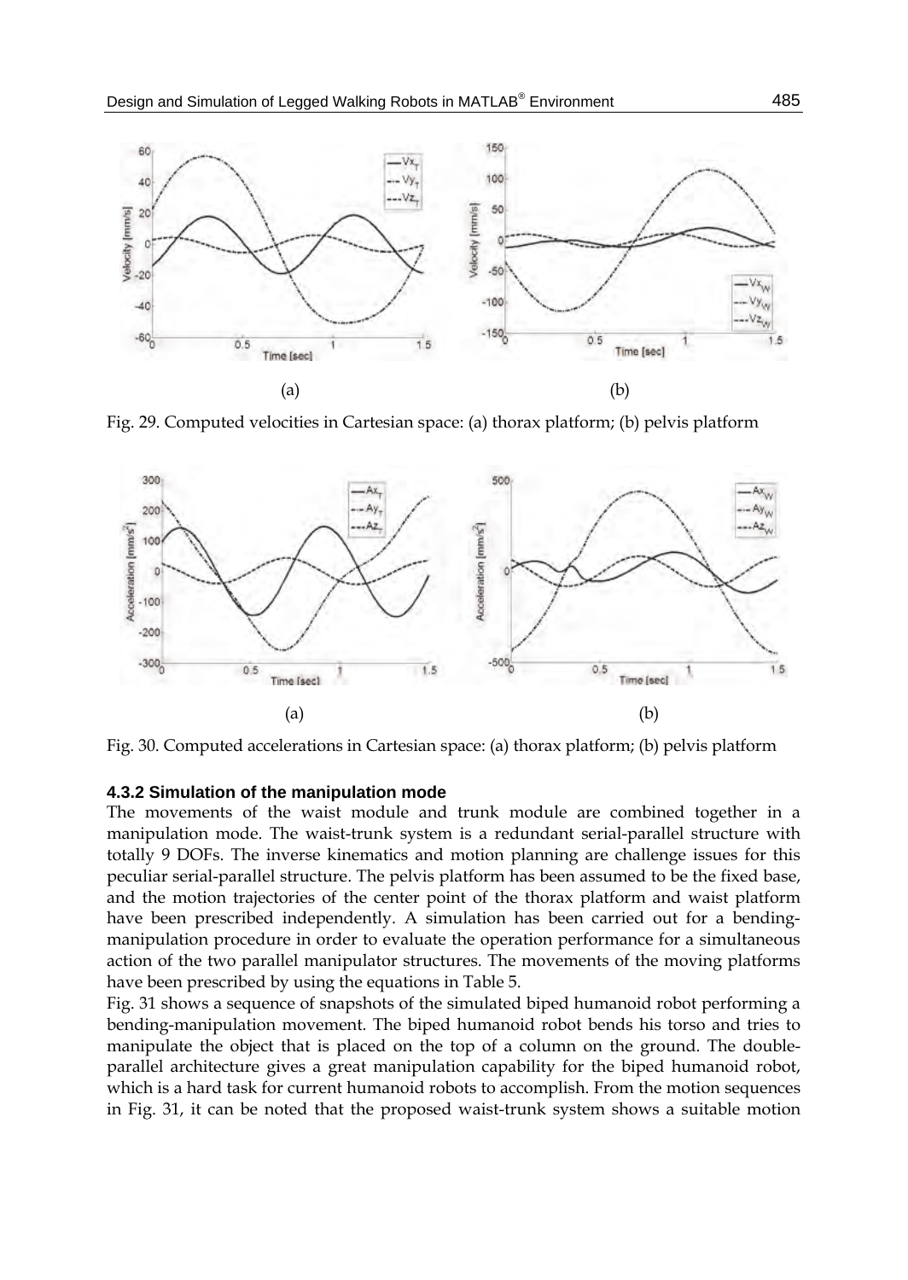

Fig. 29. Computed velocities in Cartesian space: (a) thorax platform; (b) pelvis platform



Fig. 30. Computed accelerations in Cartesian space: (a) thorax platform; (b) pelvis platform

#### **4.3.2 Simulation of the manipulation mode**

The movements of the waist module and trunk module are combined together in a manipulation mode. The waist-trunk system is a redundant serial-parallel structure with totally 9 DOFs. The inverse kinematics and motion planning are challenge issues for this peculiar serial-parallel structure. The pelvis platform has been assumed to be the fixed base, and the motion trajectories of the center point of the thorax platform and waist platform have been prescribed independently. A simulation has been carried out for a bendingmanipulation procedure in order to evaluate the operation performance for a simultaneous action of the two parallel manipulator structures. The movements of the moving platforms have been prescribed by using the equations in Table 5.

Fig. 31 shows a sequence of snapshots of the simulated biped humanoid robot performing a bending-manipulation movement. The biped humanoid robot bends his torso and tries to manipulate the object that is placed on the top of a column on the ground. The doubleparallel architecture gives a great manipulation capability for the biped humanoid robot, which is a hard task for current humanoid robots to accomplish. From the motion sequences in Fig. 31, it can be noted that the proposed waist-trunk system shows a suitable motion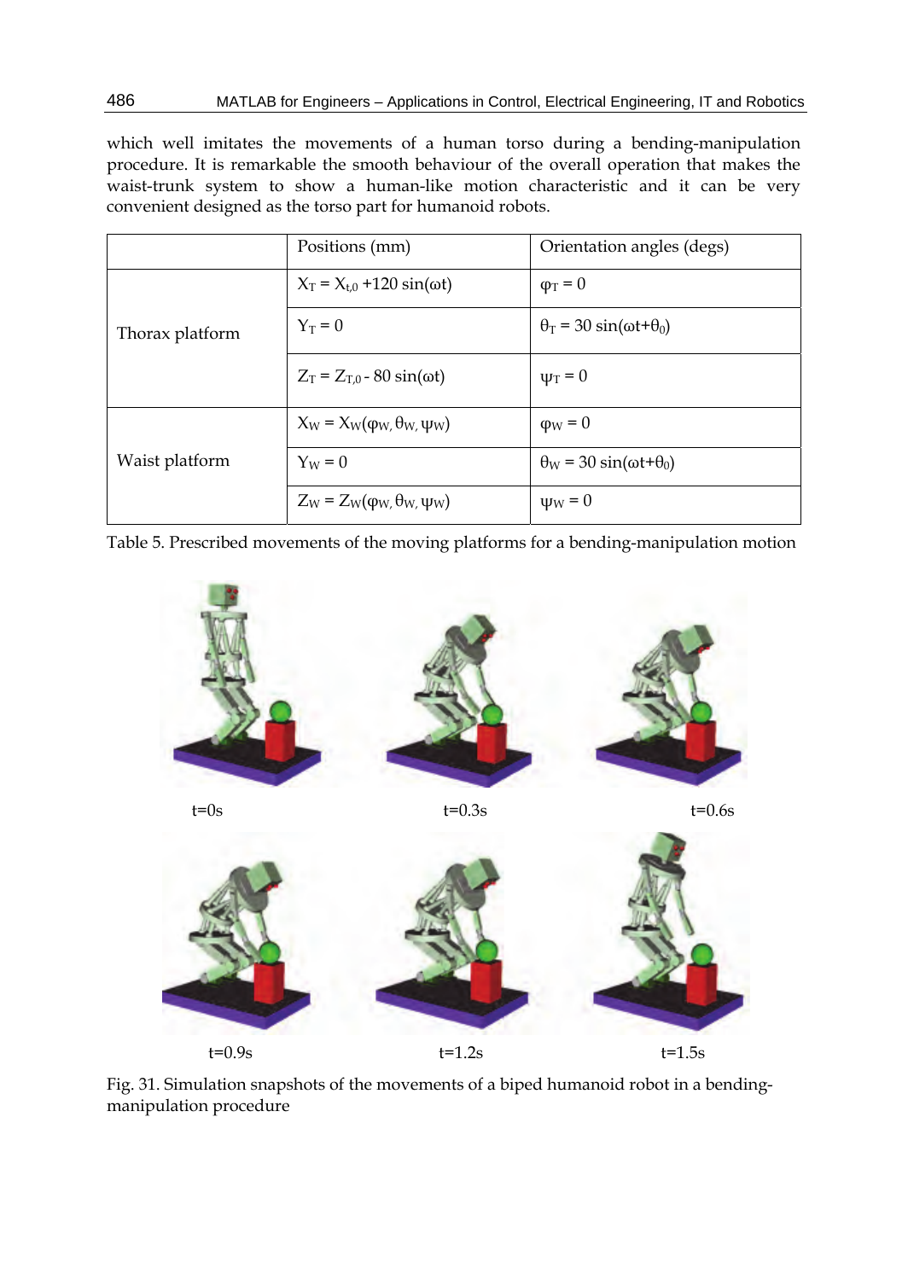which well imitates the movements of a human torso during a bending-manipulation procedure. It is remarkable the smooth behaviour of the overall operation that makes the waist-trunk system to show a human-like motion characteristic and it can be very convenient designed as the torso part for humanoid robots.

|                 | Positions (mm)                           | Orientation angles (degs)                    |
|-----------------|------------------------------------------|----------------------------------------------|
|                 | $X_T = X_{t,0} + 120 \sin(\omega t)$     | $\varphi_T = 0$                              |
| Thorax platform | $Y_T = 0$                                | $\theta_T$ = 30 sin( $\omega t + \theta_0$ ) |
|                 | $Z_T = Z_{T,0} - 80 \sin(\omega t)$      | $\psi_T = 0$                                 |
|                 | $X_W = X_W(\varphi_W, \theta_W, \psi_W)$ | $\varphi_W = 0$                              |
| Waist platform  | $Y_W = 0$                                | $\theta_W$ = 30 sin( $\omega t + \theta_0$ ) |
|                 | $Z_W = Z_W(\varphi_W, \theta_W, \psi_W)$ | $\Psi$ <sup>= 0</sup>                        |

Table 5. Prescribed movements of the moving platforms for a bending-manipulation motion



Fig. 31. Simulation snapshots of the movements of a biped humanoid robot in a bendingmanipulation procedure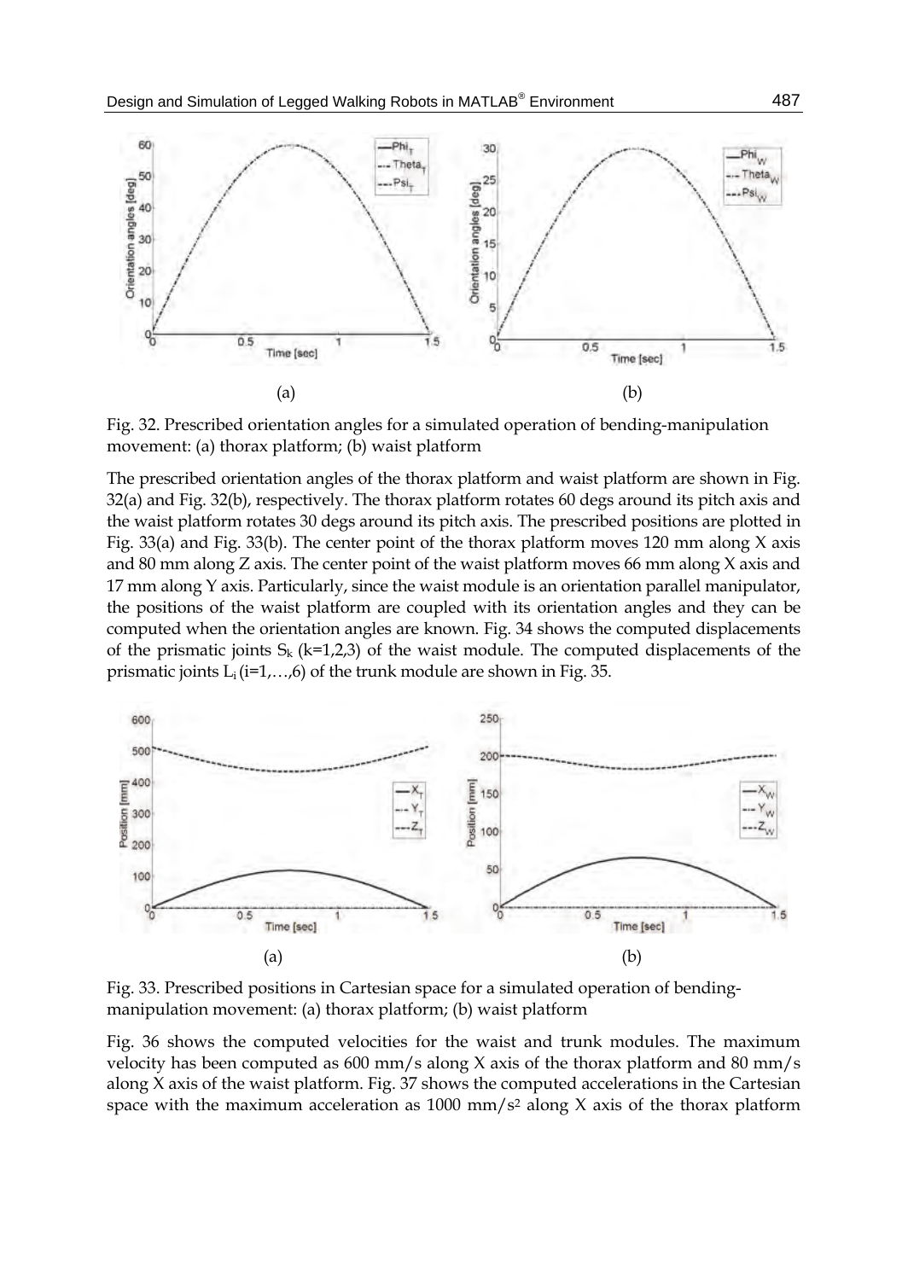



The prescribed orientation angles of the thorax platform and waist platform are shown in Fig. 32(a) and Fig. 32(b), respectively. The thorax platform rotates 60 degs around its pitch axis and the waist platform rotates 30 degs around its pitch axis. The prescribed positions are plotted in Fig. 33(a) and Fig. 33(b). The center point of the thorax platform moves 120 mm along X axis and 80 mm along Z axis. The center point of the waist platform moves 66 mm along X axis and 17 mm along Y axis. Particularly, since the waist module is an orientation parallel manipulator, the positions of the waist platform are coupled with its orientation angles and they can be computed when the orientation angles are known. Fig. 34 shows the computed displacements of the prismatic joints  $S_k$  (k=1,2,3) of the waist module. The computed displacements of the prismatic joints  $L_i$  (i=1,...,6) of the trunk module are shown in Fig. 35.



Fig. 33. Prescribed positions in Cartesian space for a simulated operation of bendingmanipulation movement: (a) thorax platform; (b) waist platform

Fig. 36 shows the computed velocities for the waist and trunk modules. The maximum velocity has been computed as  $600 \text{ mm/s}$  along X axis of the thorax platform and  $80 \text{ mm/s}$ along X axis of the waist platform. Fig. 37 shows the computed accelerations in the Cartesian space with the maximum acceleration as  $1000 \text{ mm/s}^2$  along X axis of the thorax platform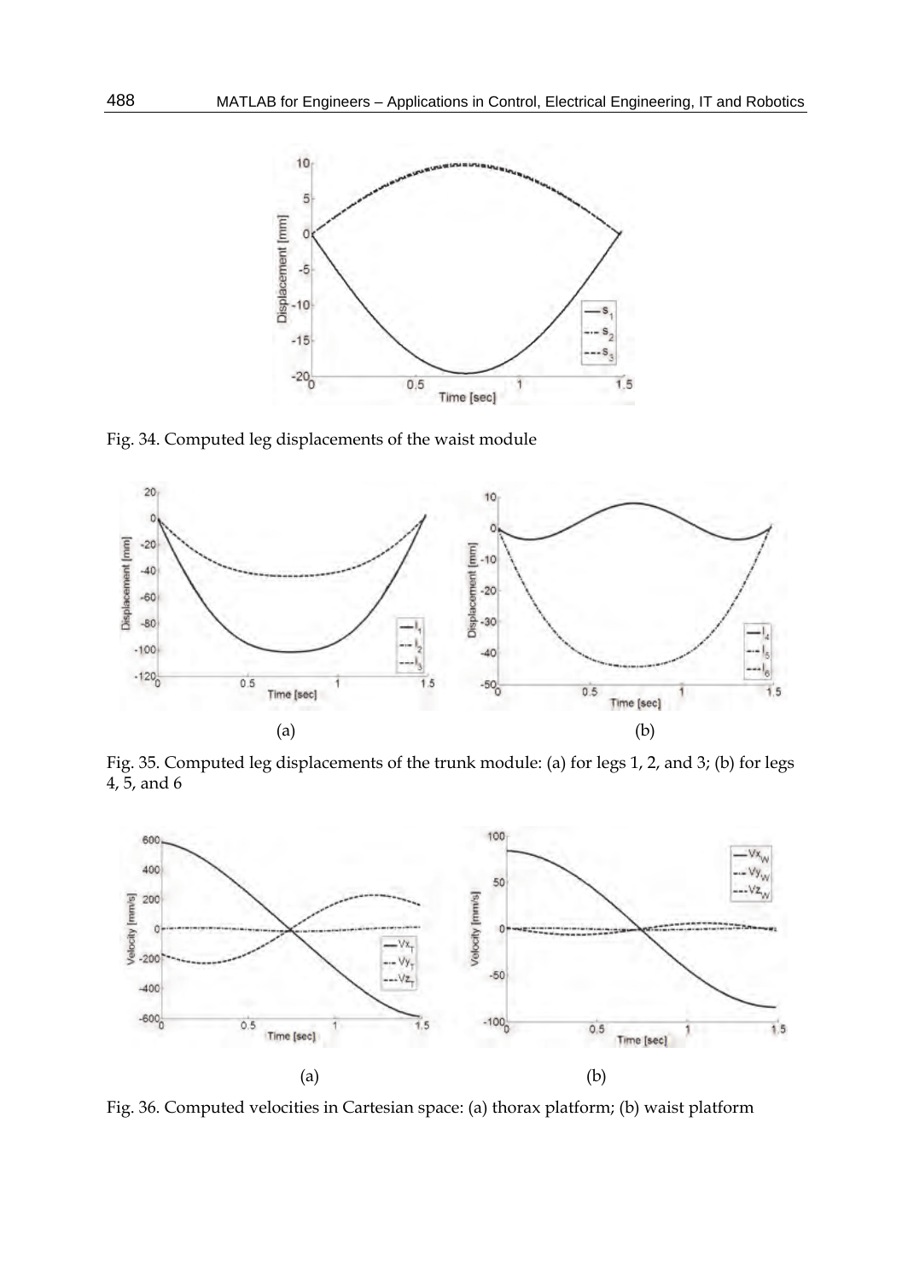

Fig. 34. Computed leg displacements of the waist module



Fig. 35. Computed leg displacements of the trunk module: (a) for legs 1, 2, and 3; (b) for legs 4, 5, and 6



Fig. 36. Computed velocities in Cartesian space: (a) thorax platform; (b) waist platform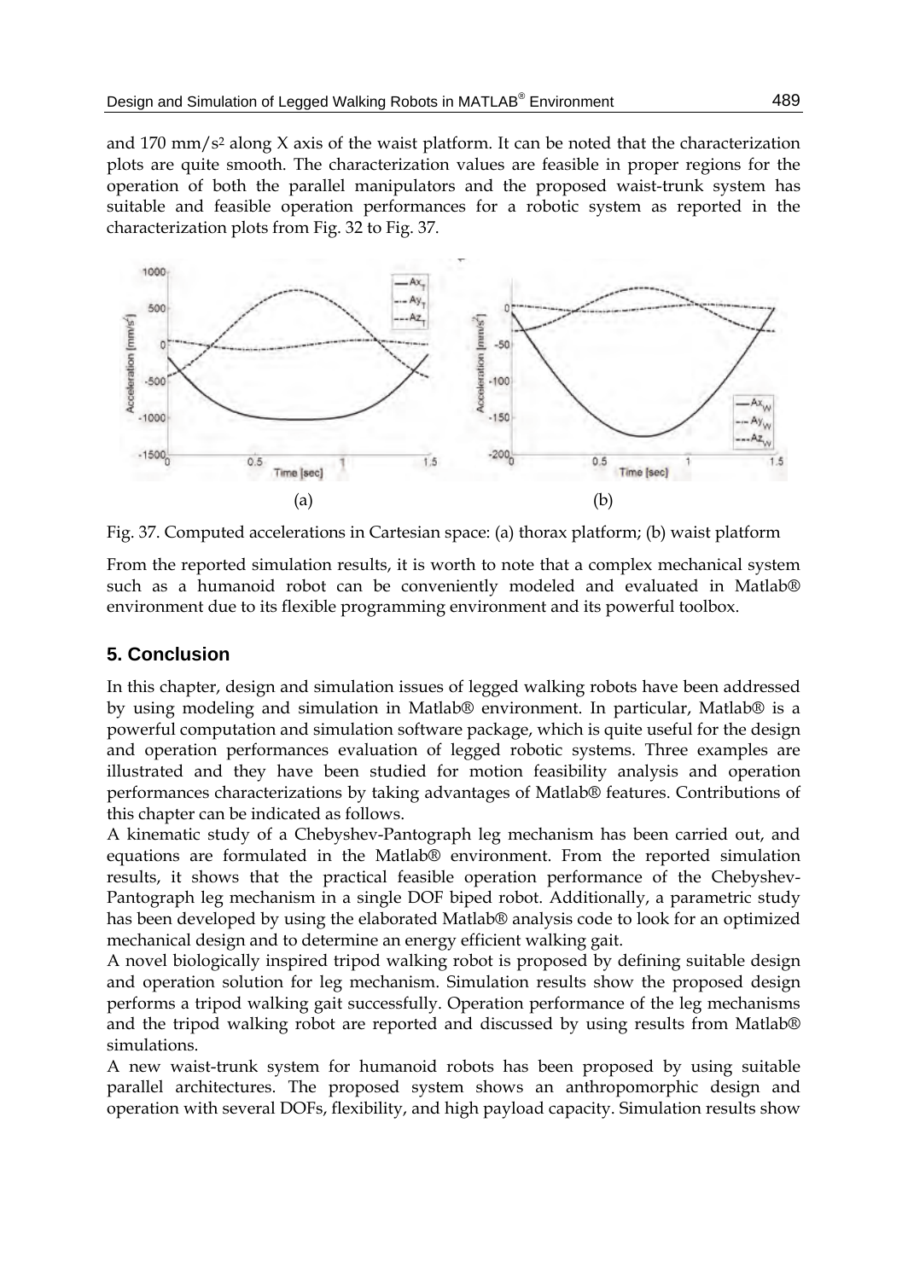and  $170 \text{ mm/s}^2$  along X axis of the waist platform. It can be noted that the characterization plots are quite smooth. The characterization values are feasible in proper regions for the operation of both the parallel manipulators and the proposed waist-trunk system has suitable and feasible operation performances for a robotic system as reported in the characterization plots from Fig. 32 to Fig. 37.



Fig. 37. Computed accelerations in Cartesian space: (a) thorax platform; (b) waist platform

From the reported simulation results, it is worth to note that a complex mechanical system such as a humanoid robot can be conveniently modeled and evaluated in Matlab® environment due to its flexible programming environment and its powerful toolbox.

## **5. Conclusion**

In this chapter, design and simulation issues of legged walking robots have been addressed by using modeling and simulation in Matlab® environment. In particular, Matlab® is a powerful computation and simulation software package, which is quite useful for the design and operation performances evaluation of legged robotic systems. Three examples are illustrated and they have been studied for motion feasibility analysis and operation performances characterizations by taking advantages of Matlab® features. Contributions of this chapter can be indicated as follows.

A kinematic study of a Chebyshev-Pantograph leg mechanism has been carried out, and equations are formulated in the Matlab® environment. From the reported simulation results, it shows that the practical feasible operation performance of the Chebyshev-Pantograph leg mechanism in a single DOF biped robot. Additionally, a parametric study has been developed by using the elaborated Matlab® analysis code to look for an optimized mechanical design and to determine an energy efficient walking gait.

A novel biologically inspired tripod walking robot is proposed by defining suitable design and operation solution for leg mechanism. Simulation results show the proposed design performs a tripod walking gait successfully. Operation performance of the leg mechanisms and the tripod walking robot are reported and discussed by using results from Matlab® simulations.

A new waist-trunk system for humanoid robots has been proposed by using suitable parallel architectures. The proposed system shows an anthropomorphic design and operation with several DOFs, flexibility, and high payload capacity. Simulation results show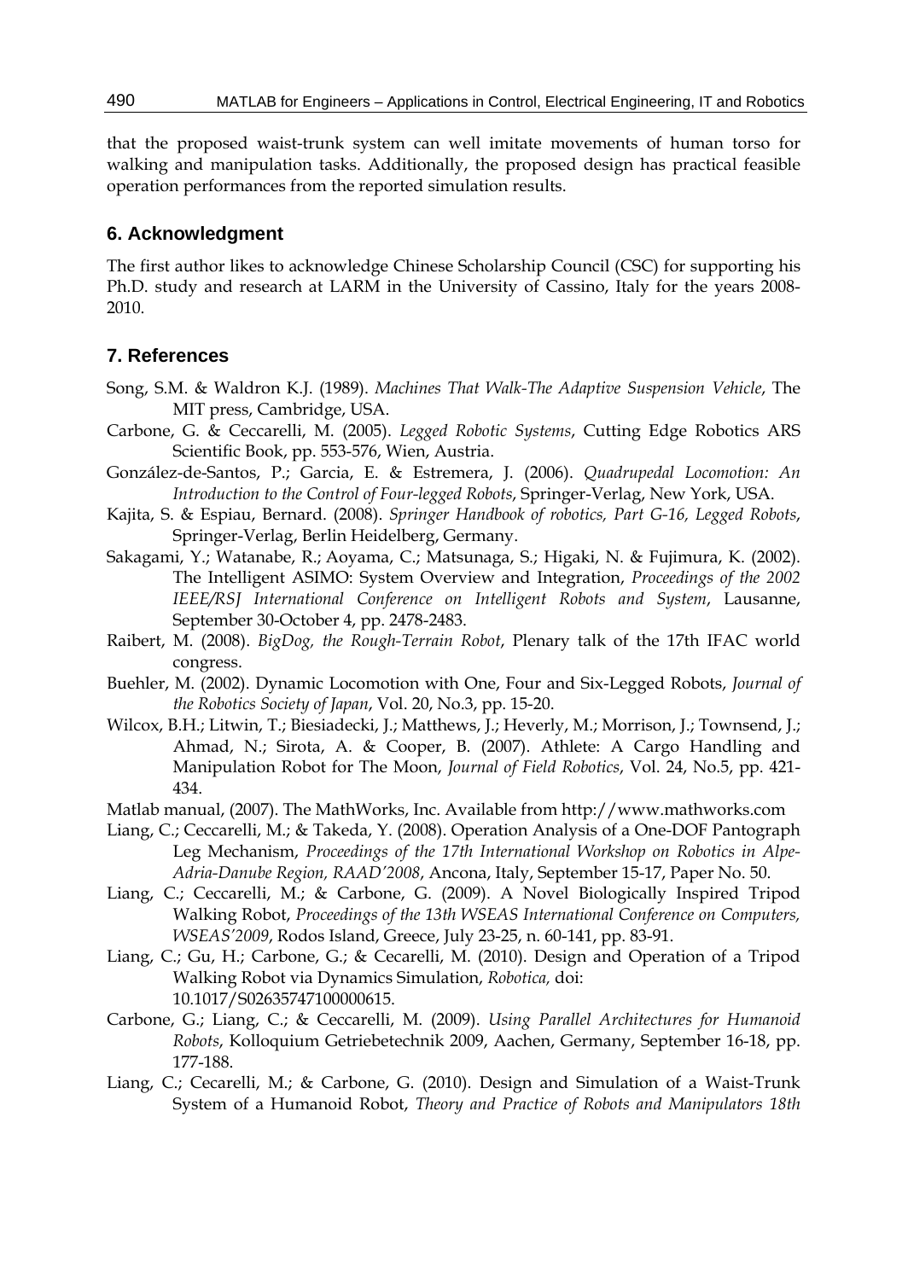that the proposed waist-trunk system can well imitate movements of human torso for walking and manipulation tasks. Additionally, the proposed design has practical feasible operation performances from the reported simulation results.

## **6. Acknowledgment**

The first author likes to acknowledge Chinese Scholarship Council (CSC) for supporting his Ph.D. study and research at LARM in the University of Cassino, Italy for the years 2008- 2010.

## **7. References**

- Song, S.M. & Waldron K.J. (1989). *Machines That Walk-The Adaptive Suspension Vehicle*, The MIT press, Cambridge, USA.
- Carbone, G. & Ceccarelli, M. (2005). *Legged Robotic Systems*, Cutting Edge Robotics ARS Scientific Book, pp. 553-576, Wien, Austria.
- González-de-Santos, P.; Garcia, E. & Estremera, J. (2006). *Quadrupedal Locomotion: An Introduction to the Control of Four-legged Robots*, Springer-Verlag, New York, USA.
- Kajita, S. & Espiau, Bernard. (2008). *Springer Handbook of robotics, Part G-16, Legged Robots*, Springer-Verlag, Berlin Heidelberg, Germany.
- Sakagami, Y.; Watanabe, R.; Aoyama, C.; Matsunaga, S.; Higaki, N. & Fujimura, K. (2002). The Intelligent ASIMO: System Overview and Integration, *Proceedings of the 2002 IEEE/RSJ International Conference on Intelligent Robots and System*, Lausanne, September 30-October 4, pp. 2478-2483.
- Raibert, M. (2008). *BigDog, the Rough-Terrain Robot*, Plenary talk of the 17th IFAC world congress.
- Buehler, M. (2002). Dynamic Locomotion with One, Four and Six-Legged Robots, *Journal of the Robotics Society of Japan*, Vol. 20, No.3, pp. 15-20.
- Wilcox, B.H.; Litwin, T.; Biesiadecki, J.; Matthews, J.; Heverly, M.; Morrison, J.; Townsend, J.; Ahmad, N.; Sirota, A. & Cooper, B. (2007). Athlete: A Cargo Handling and Manipulation Robot for The Moon, *Journal of Field Robotics*, Vol. 24, No.5, pp. 421- 434.
- Matlab manual, (2007). The MathWorks, Inc. Available from http://www.mathworks.com
- Liang, C.; Ceccarelli, M.; & Takeda, Y. (2008). Operation Analysis of a One-DOF Pantograph Leg Mechanism, *Proceedings of the 17th International Workshop on Robotics in Alpe-Adria-Danube Region, RAAD'2008*, Ancona, Italy, September 15-17, Paper No. 50.
- Liang, C.; Ceccarelli, M.; & Carbone, G. (2009). A Novel Biologically Inspired Tripod Walking Robot, *Proceedings of the 13th WSEAS International Conference on Computers, WSEAS'2009*, Rodos Island, Greece, July 23-25, n. 60-141, pp. 83-91.
- Liang, C.; Gu, H.; Carbone, G.; & Cecarelli, M. (2010). Design and Operation of a Tripod Walking Robot via Dynamics Simulation, *Robotica,* doi: 10.1017/S02635747100000615.
- Carbone, G.; Liang, C.; & Ceccarelli, M. (2009). *Using Parallel Architectures for Humanoid Robots*, Kolloquium Getriebetechnik 2009, Aachen, Germany, September 16-18, pp. 177-188.
- Liang, C.; Cecarelli, M.; & Carbone, G. (2010). Design and Simulation of a Waist-Trunk System of a Humanoid Robot, *Theory and Practice of Robots and Manipulators 18th*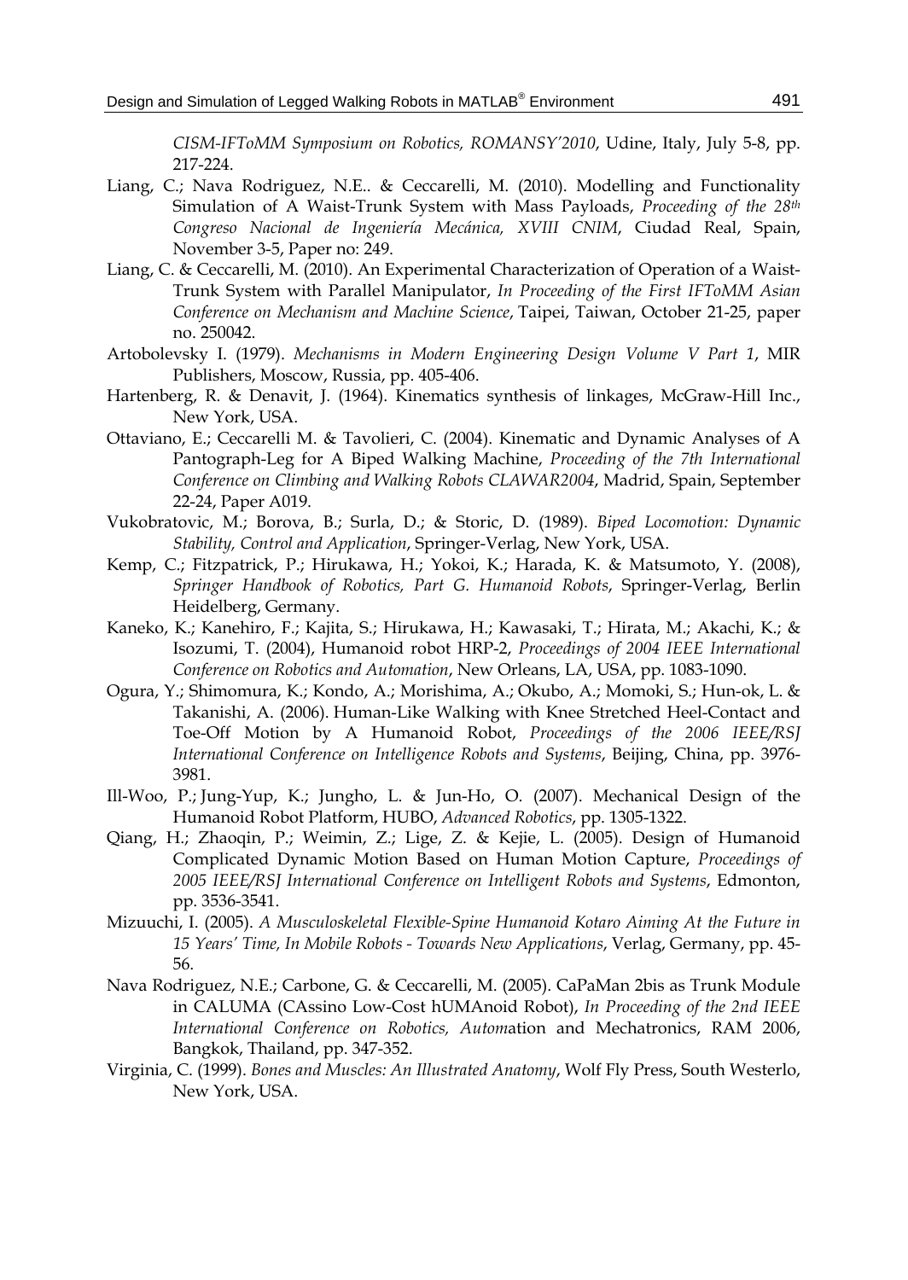*CISM-IFToMM Symposium on Robotics, ROMANSY'2010*, Udine, Italy, July 5-8, pp. 217-224.

- Liang, C.; Nava Rodriguez, N.E.. & Ceccarelli, M. (2010). Modelling and Functionality Simulation of A Waist-Trunk System with Mass Payloads, *Proceeding of the 28th Congreso Nacional de Ingeniería Mecánica, XVIII CNIM*, Ciudad Real, Spain, November 3-5, Paper no: 249.
- Liang, C. & Ceccarelli, M. (2010). An Experimental Characterization of Operation of a Waist-Trunk System with Parallel Manipulator, *In Proceeding of the First IFToMM Asian Conference on Mechanism and Machine Science*, Taipei, Taiwan, October 21-25, paper no. 250042.
- Artobolevsky I. (1979). *Mechanisms in Modern Engineering Design Volume V Part 1*, MIR Publishers, Moscow, Russia, pp. 405-406.
- Hartenberg, R. & Denavit, J. (1964). Kinematics synthesis of linkages, McGraw-Hill Inc., New York, USA.
- Ottaviano, E.; Ceccarelli M. & Tavolieri, C. (2004). Kinematic and Dynamic Analyses of A Pantograph-Leg for A Biped Walking Machine, *Proceeding of the 7th International Conference on Climbing and Walking Robots CLAWAR2004*, Madrid, Spain, September 22-24, Paper A019.
- Vukobratovic, M.; Borova, B.; Surla, D.; & Storic, D. (1989). *Biped Locomotion: Dynamic Stability, Control and Application*, Springer-Verlag, New York, USA.
- Kemp, C.; Fitzpatrick, P.; Hirukawa, H.; Yokoi, K.; Harada, K. & Matsumoto, Y. (2008), *Springer Handbook of Robotics, Part G. Humanoid Robots*, Springer-Verlag, Berlin Heidelberg, Germany.
- Kaneko, K.; Kanehiro, F.; Kajita, S.; Hirukawa, H.; Kawasaki, T.; Hirata, M.; Akachi, K.; & Isozumi, T. (2004), Humanoid robot HRP-2, *Proceedings of 2004 IEEE International Conference on Robotics and Automation*, New Orleans, LA, USA, pp. 1083-1090.
- Ogura, Y.; Shimomura, K.; Kondo, A.; Morishima, A.; Okubo, A.; Momoki, S.; Hun-ok, L. & Takanishi, A. (2006). Human-Like Walking with Knee Stretched Heel-Contact and Toe-Off Motion by A Humanoid Robot, *Proceedings of the 2006 IEEE/RSJ International Conference on Intelligence Robots and Systems*, Beijing, China, pp. 3976- 3981.
- Ill-Woo, P.; Jung-Yup, K.; Jungho, L. & Jun-Ho, O. (2007). Mechanical Design of the Humanoid Robot Platform, HUBO, *Advanced Robotics*, pp. 1305-1322.
- Qiang, H.; Zhaoqin, P.; Weimin, Z.; Lige, Z. & Kejie, L. (2005). Design of Humanoid Complicated Dynamic Motion Based on Human Motion Capture, *Proceedings of 2005 IEEE/RSJ International Conference on Intelligent Robots and Systems*, Edmonton, pp. 3536-3541.
- Mizuuchi, I. (2005). *A Musculoskeletal Flexible-Spine Humanoid Kotaro Aiming At the Future in 15 Years' Time, In Mobile Robots - Towards New Applications*, Verlag, Germany, pp. 45- 56.
- Nava Rodriguez, N.E.; Carbone, G. & Ceccarelli, M. (2005). CaPaMan 2bis as Trunk Module in CALUMA (CAssino Low-Cost hUMAnoid Robot), *In Proceeding of the 2nd IEEE International Conference on Robotics, Autom*ation and Mechatronics, RAM 2006, Bangkok, Thailand, pp. 347-352.
- Virginia, C. (1999). *Bones and Muscles: An Illustrated Anatomy*, Wolf Fly Press, South Westerlo, New York, USA.